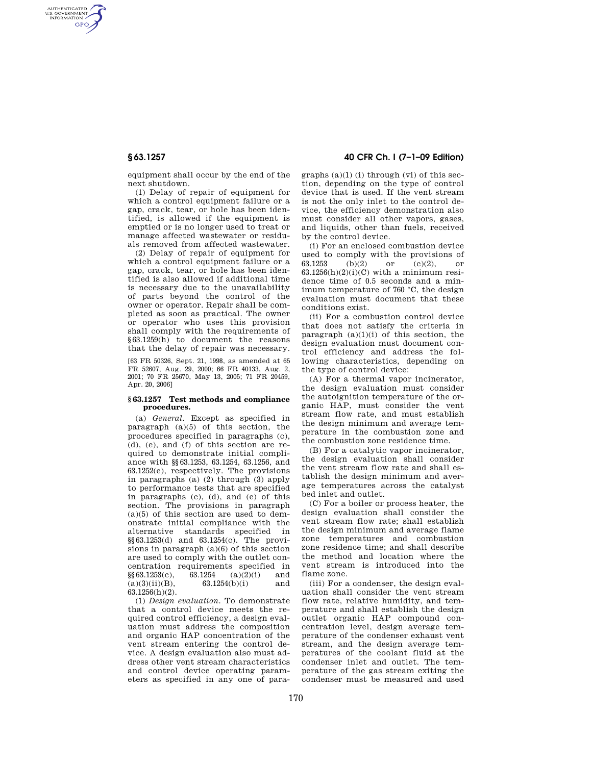AUTHENTICATED<br>U.S. GOVERNMENT<br>INFORMATION **GPO** 

**§ 63.1257 40 CFR Ch. I (7–1–09 Edition)** 

equipment shall occur by the end of the next shutdown.

(1) Delay of repair of equipment for which a control equipment failure or a gap, crack, tear, or hole has been identified, is allowed if the equipment is emptied or is no longer used to treat or manage affected wastewater or residuals removed from affected wastewater.

(2) Delay of repair of equipment for which a control equipment failure or a gap, crack, tear, or hole has been identified is also allowed if additional time is necessary due to the unavailability of parts beyond the control of the owner or operator. Repair shall be completed as soon as practical. The owner or operator who uses this provision shall comply with the requirements of §63.1259(h) to document the reasons that the delay of repair was necessary.

[63 FR 50326, Sept. 21, 1998, as amended at 65 FR 52607, Aug. 29, 2000; 66 FR 40133, Aug. 2, 2001; 70 FR 25670, May 13, 2005; 71 FR 20459, Apr. 20, 2006]

### **§ 63.1257 Test methods and compliance procedures.**

(a) *General.* Except as specified in paragraph  $(a)(5)$  of this section, the procedures specified in paragraphs (c), (d), (e), and (f) of this section are required to demonstrate initial compliance with §§63.1253, 63.1254, 63.1256, and 63.1252(e), respectively. The provisions in paragraphs (a) (2) through (3) apply to performance tests that are specified in paragraphs (c), (d), and (e) of this section. The provisions in paragraph  $(a)(5)$  of this section are used to demonstrate initial compliance with the alternative standards specified in §§63.1253(d) and 63.1254(c). The provisions in paragraph  $(a)(6)$  of this section are used to comply with the outlet concentration requirements specified in  $\S\$ 63.1253(c), 63.1254 (a)(2)(i) and<br>(a)(3)(ii)(B), 63.1254(b)(i) and  $63.1254(b)(i)$  and 63.1256(h)(2).

(1) *Design evaluation.* To demonstrate that a control device meets the required control efficiency, a design evaluation must address the composition and organic HAP concentration of the vent stream entering the control device. A design evaluation also must address other vent stream characteristics and control device operating parameters as specified in any one of paragraphs  $(a)(1)$  (i) through (vi) of this section, depending on the type of control device that is used. If the vent stream is not the only inlet to the control device, the efficiency demonstration also must consider all other vapors, gases, and liquids, other than fuels, received by the control device.

(i) For an enclosed combustion device used to comply with the provisions of 63.1253 (b)(2) or (c)(2), or  $63.1256(h)(2)(i)(C)$  with a minimum residence time of 0.5 seconds and a minimum temperature of 760 °C, the design evaluation must document that these conditions exist.

(ii) For a combustion control device that does not satisfy the criteria in paragraph  $(a)(1)(i)$  of this section, the design evaluation must document control efficiency and address the following characteristics, depending on the type of control device:

(A) For a thermal vapor incinerator, the design evaluation must consider the autoignition temperature of the organic HAP, must consider the vent stream flow rate, and must establish the design minimum and average temperature in the combustion zone and the combustion zone residence time.

(B) For a catalytic vapor incinerator, the design evaluation shall consider the vent stream flow rate and shall establish the design minimum and average temperatures across the catalyst bed inlet and outlet.

(C) For a boiler or process heater, the design evaluation shall consider the vent stream flow rate; shall establish the design minimum and average flame zone temperatures and combustion zone residence time; and shall describe the method and location where the vent stream is introduced into the flame zone.

(iii) For a condenser, the design evaluation shall consider the vent stream flow rate, relative humidity, and temperature and shall establish the design outlet organic HAP compound concentration level, design average temperature of the condenser exhaust vent stream, and the design average temperatures of the coolant fluid at the condenser inlet and outlet. The temperature of the gas stream exiting the condenser must be measured and used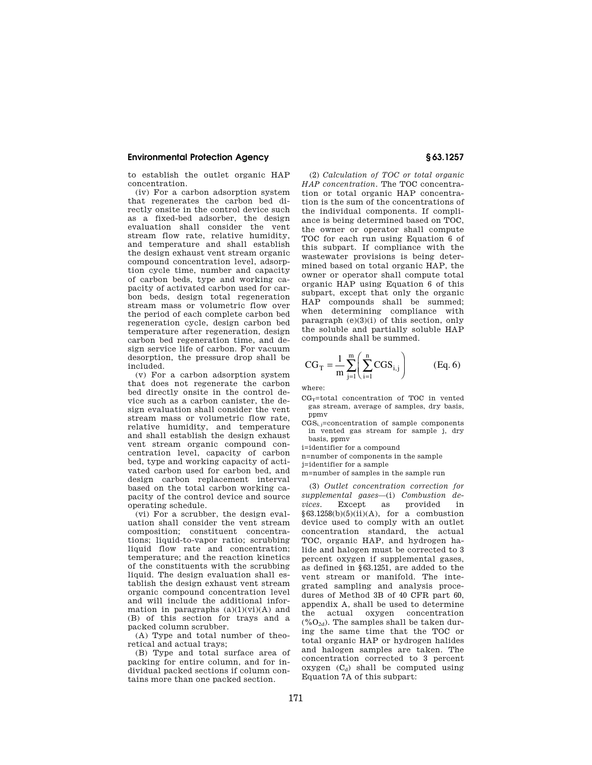to establish the outlet organic HAP concentration.

(iv) For a carbon adsorption system that regenerates the carbon bed directly onsite in the control device such as a fixed-bed adsorber, the design evaluation shall consider the vent stream flow rate, relative humidity, and temperature and shall establish the design exhaust vent stream organic compound concentration level, adsorption cycle time, number and capacity of carbon beds, type and working capacity of activated carbon used for car-.<br>bon beds, design total regeneration stream mass or volumetric flow over the period of each complete carbon bed regeneration cycle, design carbon bed temperature after regeneration, design carbon bed regeneration time, and design service life of carbon. For vacuum desorption, the pressure drop shall be included.

(v) For a carbon adsorption system that does not regenerate the carbon bed directly onsite in the control device such as a carbon canister, the design evaluation shall consider the vent stream mass or volumetric flow rate, relative humidity, and temperature and shall establish the design exhaust vent stream organic compound concentration level, capacity of carbon bed, type and working capacity of activated carbon used for carbon bed, and design carbon replacement interval based on the total carbon working capacity of the control device and source operating schedule.

(vi) For a scrubber, the design evaluation shall consider the vent stream composition; constituent concentrations; liquid-to-vapor ratio; scrubbing liquid flow rate and concentration; temperature; and the reaction kinetics of the constituents with the scrubbing liquid. The design evaluation shall establish the design exhaust vent stream organic compound concentration level and will include the additional information in paragraphs  $(a)(1)(vi)(A)$  and (B) of this section for trays and a packed column scrubber.

(A) Type and total number of theoretical and actual trays;

(B) Type and total surface area of packing for entire column, and for individual packed sections if column contains more than one packed section.

(2) *Calculation of TOC or total organic HAP concentration.* The TOC concentration or total organic HAP concentration is the sum of the concentrations of the individual components. If compliance is being determined based on TOC, the owner or operator shall compute TOC for each run using Equation 6 of this subpart. If compliance with the wastewater provisions is being determined based on total organic HAP, the owner or operator shall compute total organic HAP using Equation 6 of this subpart, except that only the organic HAP compounds shall be summed; when determining compliance with paragraph (e)(3)(i) of this section, only the soluble and partially soluble HAP compounds shall be summed.

$$
CG_T = \frac{1}{m} \sum_{j=1}^{m} \left( \sum_{i=1}^{n} CGS_{i,j} \right)
$$
 (Eq. 6)

where:

- $CG_T$ =total concentration of TOC in vented gas stream, average of samples, dry basis, ppmy
- $CGS_i$ ;=concentration of sample components in vented gas stream for sample j, dry basis, ppmv
- i=identifier for a compound

n=number of components in the sample

j=identifier for a sample

m=number of samples in the sample run

(3) *Outlet concentration correction for supplemental gases*—(i) *Combustion devices.* Except as provided in  $§63.1258(b)(5)(ii)(A)$ , for a combustion device used to comply with an outlet concentration standard, the actual TOC, organic HAP, and hydrogen halide and halogen must be corrected to 3 percent oxygen if supplemental gases, as defined in §63.1251, are added to the vent stream or manifold. The integrated sampling and analysis procedures of Method 3B of 40 CFR part 60, appendix A, shall be used to determine the actual oxygen concentration  $(\%O_{2d})$ . The samples shall be taken during the same time that the TOC or total organic HAP or hydrogen halides and halogen samples are taken. The concentration corrected to 3 percent oxygen  $(C_d)$  shall be computed using Equation 7A of this subpart: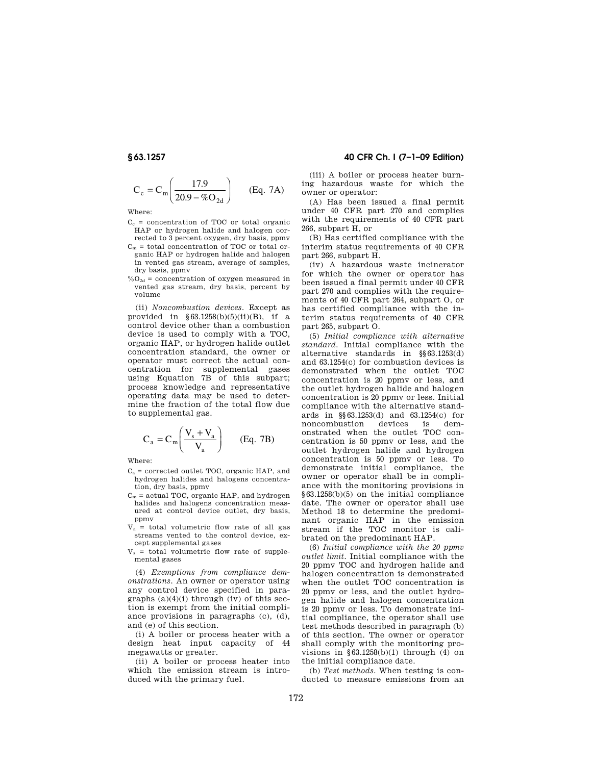$$
C_c = C_m \left( \frac{17.9}{20.9 - \%O_{2d}} \right)
$$
 (Eq. 7A)

Where:

- $C_c$  = concentration of TOC or total organic HAP or hydrogen halide and halogen corrected to 3 percent oxygen, dry basis, ppmv
- $\mathrm{C}_\mathrm{m}$  = total concentration of TOC or total organic HAP or hydrogen halide and halogen in vented gas stream, average of samples, dry basis, ppmv
- $\%$ O<sub>2d</sub> = concentration of oxygen measured in vented gas stream, dry basis, percent by volume

(ii) *Noncombustion devices.* Except as provided in  $$63.1258(b)(5)(ii)(B)$ , if a control device other than a combustion device is used to comply with a TOC, organic HAP, or hydrogen halide outlet concentration standard, the owner or operator must correct the actual concentration for supplemental gases using Equation 7B of this subpart; process knowledge and representative operating data may be used to determine the fraction of the total flow due to supplemental gas.

$$
C_a = C_m \left( \frac{V_s + V_a}{V_a} \right) \qquad (Eq. 7B)
$$

Where:

- $C_a$  = corrected outlet TOC, organic HAP, and hydrogen halides and halogens concentration, dry basis, ppmv
- $C_m$  = actual TOC, organic HAP, and hydrogen halides and halogens concentration measured at control device outlet, dry basis, ppmv
- $V_a$  = total volumetric flow rate of all gas streams vented to the control device, except supplemental gases
- $V_s$  = total volumetric flow rate of supplemental gases

(4) *Exemptions from compliance demonstrations.* An owner or operator using any control device specified in paragraphs  $(a)(4)(i)$  through  $(iv)$  of this section is exempt from the initial compliance provisions in paragraphs (c), (d), and (e) of this section.

(i) A boiler or process heater with a design heat input capacity of 44 megawatts or greater.

(ii) A boiler or process heater into which the emission stream is introduced with the primary fuel.

# **§ 63.1257 40 CFR Ch. I (7–1–09 Edition)**

(iii) A boiler or process heater burning hazardous waste for which the owner or operator:

(A) Has been issued a final permit under 40 CFR part 270 and complies with the requirements of 40 CFR part 266, subpart H, or

(B) Has certified compliance with the interim status requirements of 40 CFR part 266, subpart H.

(iv) A hazardous waste incinerator for which the owner or operator has been issued a final permit under 40 CFR part 270 and complies with the requirements of 40 CFR part 264, subpart O, or has certified compliance with the interim status requirements of 40 CFR part 265, subpart O.

(5) *Initial compliance with alternative standard.* Initial compliance with the alternative standards in §§63.1253(d) and 63.1254(c) for combustion devices is demonstrated when the outlet TOC concentration is 20 ppmv or less, and the outlet hydrogen halide and halogen concentration is 20 ppmv or less. Initial compliance with the alternative standards in §§63.1253(d) and 63.1254(c) for noncombustion devices is demonstrated when the outlet TOC concentration is 50 ppmv or less, and the outlet hydrogen halide and hydrogen concentration is 50 ppmv or less. To demonstrate initial compliance, the owner or operator shall be in compliance with the monitoring provisions in §63.1258(b)(5) on the initial compliance date. The owner or operator shall use Method 18 to determine the predominant organic HAP in the emission stream if the TOC monitor is calibrated on the predominant HAP.

(6) *Initial compliance with the 20 ppmv outlet limit.* Initial compliance with the 20 ppmv TOC and hydrogen halide and halogen concentration is demonstrated when the outlet TOC concentration is 20 ppmv or less, and the outlet hydrogen halide and halogen concentration is 20 ppmv or less. To demonstrate initial compliance, the operator shall use test methods described in paragraph (b) of this section. The owner or operator shall comply with the monitoring provisions in  $§63.1258(b)(1)$  through  $(4)$  on the initial compliance date.

(b) *Test methods.* When testing is conducted to measure emissions from an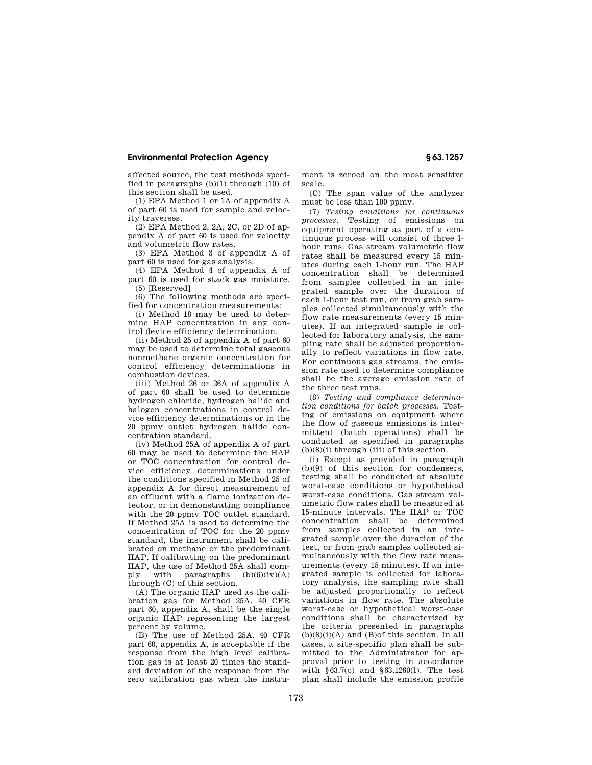affected source, the test methods specified in paragraphs  $(b)(1)$  through  $(10)$  of this section shall be used.

(1) EPA Method 1 or 1A of appendix A of part 60 is used for sample and velocity traverses.

(2) EPA Method 2, 2A, 2C, or 2D of appendix A of part 60 is used for velocity and volumetric flow rates.

(3) EPA Method 3 of appendix A of part 60 is used for gas analysis.

(4) EPA Method 4 of appendix A of part 60 is used for stack gas moisture. (5) [Reserved]

(6) The following methods are specified for concentration measurements:

(i) Method 18 may be used to determine HAP concentration in any control device efficiency determination.

(ii) Method 25 of appendix A of part 60 may be used to determine total gaseous nonmethane organic concentration for control efficiency determinations in combustion devices.

(iii) Method 26 or 26A of appendix A of part 60 shall be used to determine hydrogen chloride, hydrogen halide and halogen concentrations in control device efficiency determinations or in the 20 ppmv outlet hydrogen halide concentration standard.

(iv) Method 25A of appendix A of part 60 may be used to determine the HAP or TOC concentration for control device efficiency determinations under the conditions specified in Method 25 of appendix A for direct measurement of an effluent with a flame ionization detector, or in demonstrating compliance with the 20 ppmv TOC outlet standard. If Method 25A is used to determine the concentration of TOC for the 20 ppmv standard, the instrument shall be calibrated on methane or the predominant HAP. If calibrating on the predominant HAP, the use of Method 25A shall comply with paragraphs  $(b)(6)(iv)(A)$ through (C) of this section.

(A) The organic HAP used as the calibration gas for Method 25A, 40 CFR part 60, appendix A, shall be the single organic HAP representing the largest percent by volume.

(B) The use of Method 25A, 40 CFR part 60, appendix A, is acceptable if the response from the high level calibration gas is at least 20 times the standard deviation of the response from the zero calibration gas when the instrument is zeroed on the most sensitive scale.

(C) The span value of the analyzer must be less than 100 ppmv.

(7) *Testing conditions for continuous processes.* Testing of emissions on equipment operating as part of a continuous process will consist of three lhour runs. Gas stream volumetric flow rates shall be measured every 15 minutes during each 1-hour run. The HAP concentration shall be determined from samples collected in an integrated sample over the duration of each l-hour test run, or from grab samples collected simultaneously with the flow rate measurements (every 15 minutes). If an integrated sample is collected for laboratory analysis, the sampling rate shall be adjusted proportionally to reflect variations in flow rate. For continuous gas streams, the emission rate used to determine compliance shall be the average emission rate of the three test runs.

(8) *Testing and compliance determination conditions for batch processes.* Testing of emissions on equipment where the flow of gaseous emissions is intermittent (batch operations) shall be conducted as specified in paragraphs  $(b)(8)(i)$  through  $(iii)$  of this section.

(i) Except as provided in paragraph (b)(9) of this section for condensers, testing shall be conducted at absolute worst-case conditions or hypothetical worst-case conditions. Gas stream volumetric flow rates shall be measured at 15-minute intervals. The HAP or TOC concentration shall be determined from samples collected in an integrated sample over the duration of the test, or from grab samples collected simultaneously with the flow rate measurements (every 15 minutes). If an integrated sample is collected for laboratory analysis, the sampling rate shall be adjusted proportionally to reflect variations in flow rate. The absolute worst-case or hypothetical worst-case conditions shall be characterized by the criteria presented in paragraphs  $(b)(8)(i)(A)$  and  $(B)$ of this section. In all cases, a site-specific plan shall be submitted to the Administrator for approval prior to testing in accordance with §63.7(c) and §63.1260(l). The test plan shall include the emission profile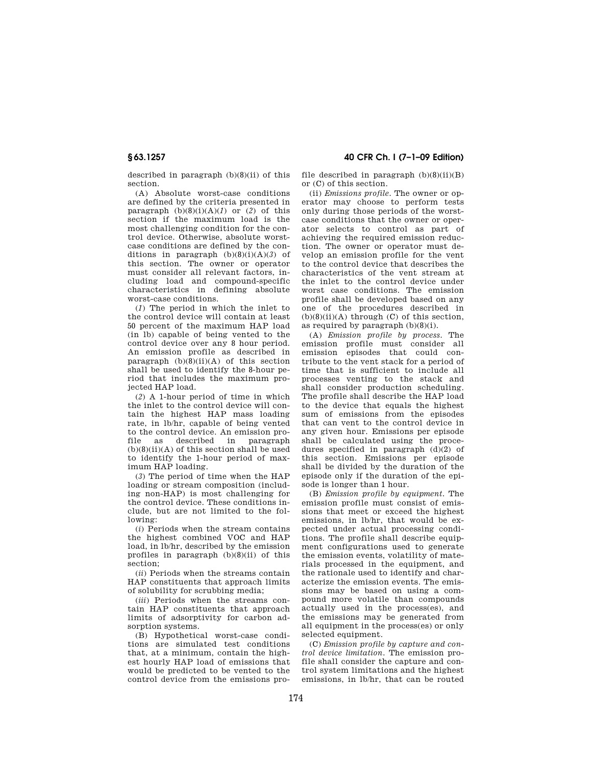described in paragraph  $(b)(8)(ii)$  of this section.

(A) Absolute worst-case conditions are defined by the criteria presented in paragraph  $(b)(8)(i)(A)(1)$  or  $(2)$  of this section if the maximum load is the most challenging condition for the control device. Otherwise, absolute worstcase conditions are defined by the conditions in paragraph  $(b)(8)(i)(A)(3)$  of this section. The owner or operator must consider all relevant factors, including load and compound-specific characteristics in defining absolute worst-case conditions.

(*1*) The period in which the inlet to the control device will contain at least 50 percent of the maximum HAP load (in lb) capable of being vented to the control device over any 8 hour period. An emission profile as described in paragraph  $(b)(8)(ii)(A)$  of this section shall be used to identify the 8-hour period that includes the maximum projected HAP load.

(*2*) A 1-hour period of time in which the inlet to the control device will contain the highest HAP mass loading rate, in lb/hr, capable of being vented to the control device. An emission profile as described in paragraph  $(b)(8)(ii)(A)$  of this section shall be used to identify the 1-hour period of maximum HAP loading.

(*3*) The period of time when the HAP loading or stream composition (including non-HAP) is most challenging for the control device. These conditions include, but are not limited to the following:

(*i*) Periods when the stream contains the highest combined VOC and HAP load, in lb/hr, described by the emission profiles in paragraph  $(b)(8)(ii)$  of this section;

(*ii*) Periods when the streams contain HAP constituents that approach limits of solubility for scrubbing media;

(*iii*) Periods when the streams contain HAP constituents that approach limits of adsorptivity for carbon adsorption systems.

(B) Hypothetical worst-case conditions are simulated test conditions that, at a minimum, contain the highest hourly HAP load of emissions that would be predicted to be vented to the control device from the emissions pro-

**§ 63.1257 40 CFR Ch. I (7–1–09 Edition)** 

file described in paragraph  $(b)(8)(ii)(B)$ or (C) of this section.

(ii) *Emissions profile.* The owner or operator may choose to perform tests only during those periods of the worstcase conditions that the owner or operator selects to control as part of achieving the required emission reduction. The owner or operator must develop an emission profile for the vent to the control device that describes the characteristics of the vent stream at the inlet to the control device under worst case conditions. The emission profile shall be developed based on any one of the procedures described in  $(b)(8)(ii)(A)$  through  $(C)$  of this section. as required by paragraph  $(b)(8)(i)$ .

(A) *Emission profile by process.* The emission profile must consider all emission episodes that could contribute to the vent stack for a period of time that is sufficient to include all processes venting to the stack and shall consider production scheduling. The profile shall describe the HAP load to the device that equals the highest sum of emissions from the episodes that can vent to the control device in any given hour. Emissions per episode shall be calculated using the procedures specified in paragraph (d)(2) of this section. Emissions per episode shall be divided by the duration of the episode only if the duration of the episode is longer than 1 hour.

(B) *Emission profile by equipment.* The emission profile must consist of emissions that meet or exceed the highest emissions, in lb/hr, that would be expected under actual processing conditions. The profile shall describe equipment configurations used to generate the emission events, volatility of materials processed in the equipment, and the rationale used to identify and characterize the emission events. The emissions may be based on using a compound more volatile than compounds actually used in the process(es), and the emissions may be generated from all equipment in the process(es) or only selected equipment.

(C) *Emission profile by capture and control device limitation.* The emission profile shall consider the capture and control system limitations and the highest emissions, in lb/hr, that can be routed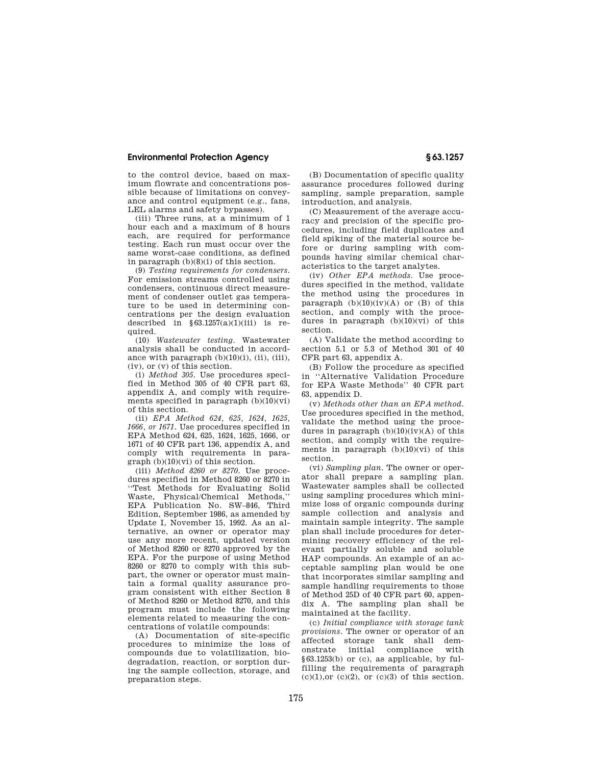to the control device, based on maximum flowrate and concentrations possible because of limitations on conveyance and control equipment (e.g., fans, LEL alarms and safety bypasses).

(iii) Three runs, at a minimum of 1 hour each and a maximum of 8 hours each, are required for performance testing. Each run must occur over the same worst-case conditions, as defined in paragraph (b)(8)(i) of this section.

(9) *Testing requirements for condensers.*  For emission streams controlled using condensers, continuous direct measurement of condenser outlet gas temperature to be used in determining concentrations per the design evaluation described in  $\S 63.1257(a)(1)(iii)$  is required.

(10) *Wastewater testing.* Wastewater analysis shall be conducted in accordance with paragraph  $(b)(10)(i)$ ,  $(ii)$ ,  $(iii)$ , (iv), or (v) of this section.

(i) *Method 305.* Use procedures specified in Method 305 of 40 CFR part 63, appendix A, and comply with requirements specified in paragraph  $(b)(10)(vi)$ of this section.

(ii) *EPA Method 624, 625, 1624, 1625, 1666, or 1671.* Use procedures specified in EPA Method 624, 625, 1624, 1625, 1666, or 1671 of 40 CFR part 136, appendix A, and comply with requirements in para $graph (b)(10)(vi)$  of this section.

(iii) *Method 8260 or 8270.* Use procedures specified in Method 8260 or 8270 in ''Test Methods for Evaluating Solid Waste, Physical/Chemical Methods,'' EPA Publication No. SW–846, Third Edition, September 1986, as amended by Update I, November 15, 1992. As an alternative, an owner or operator may use any more recent, updated version of Method 8260 or 8270 approved by the EPA. For the purpose of using Method 8260 or 8270 to comply with this subpart, the owner or operator must maintain a formal quality assurance program consistent with either Section 8 of Method 8260 or Method 8270, and this program must include the following elements related to measuring the concentrations of volatile compounds:

(A) Documentation of site-specific procedures to minimize the loss of compounds due to volatilization, biodegradation, reaction, or sorption during the sample collection, storage, and preparation steps.

(B) Documentation of specific quality assurance procedures followed during sampling, sample preparation, sample introduction, and analysis.

(C) Measurement of the average accuracy and precision of the specific procedures, including field duplicates and field spiking of the material source before or during sampling with compounds having similar chemical characteristics to the target analytes.

(iv) *Other EPA methods.* Use procedures specified in the method, validate the method using the procedures in paragraph  $(b)(10)(iv)(A)$  or  $(B)$  of this section, and comply with the procedures in paragraph  $(b)(10)(vi)$  of this section.

(A) Validate the method according to section 5.1 or 5.3 of Method 301 of 40 CFR part 63, appendix A.

(B) Follow the procedure as specified in ''Alternative Validation Procedure for EPA Waste Methods'' 40 CFR part 63, appendix D.

(v) *Methods other than an EPA method.*  Use procedures specified in the method, validate the method using the procedures in paragraph  $(b)(10)(iv)(A)$  of this section, and comply with the requirements in paragraph  $(b)(10)(vi)$  of this section.

(vi) *Sampling plan.* The owner or operator shall prepare a sampling plan. Wastewater samples shall be collected using sampling procedures which minimize loss of organic compounds during sample collection and analysis and maintain sample integrity. The sample plan shall include procedures for determining recovery efficiency of the relevant partially soluble and soluble HAP compounds. An example of an acceptable sampling plan would be one that incorporates similar sampling and sample handling requirements to those of Method 25D of 40 CFR part 60, appendix A. The sampling plan shall be maintained at the facility.

(c) *Initial compliance with storage tank provisions.* The owner or operator of an affected storage tank shall demonstrate initial compliance with §63.1253(b) or (c), as applicable, by fulfilling the requirements of paragraph  $(c)(1)$ , or  $(c)(2)$ , or  $(c)(3)$  of this section.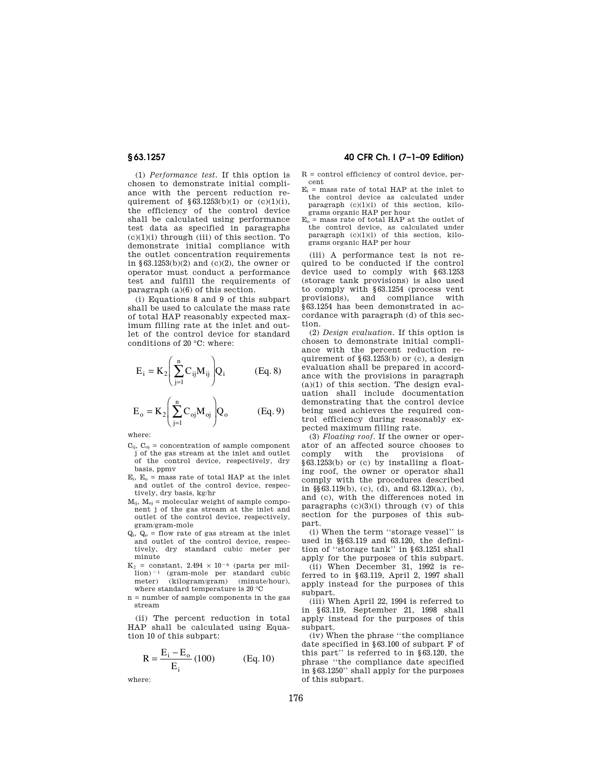(1) *Performance test.* If this option is chosen to demonstrate initial compliance with the percent reduction requirement of  $\S 63.1253(b)(1)$  or (c)(1)(i), the efficiency of the control device shall be calculated using performance test data as specified in paragraphs  $(c)(1)(i)$  through (iii) of this section. To demonstrate initial compliance with the outlet concentration requirements in §63.1253(b)(2) and (c)(2), the owner or operator must conduct a performance test and fulfill the requirements of paragraph (a)(6) of this section.

(i) Equations 8 and 9 of this subpart shall be used to calculate the mass rate of total HAP reasonably expected maximum filling rate at the inlet and outlet of the control device for standard conditions of 20 °C: where:

$$
E_i = K_2 \left( \sum_{j=1}^n C_{ij} M_{ij} \right) Q_i \qquad (Eq. 8)
$$

$$
E_o = K_2 \left( \sum_{j=1}^{n} C_{oj} M_{oj} \right) Q_o
$$
 (Eq. 9)

where:

- $C_{ij}$ ,  $C_{oj}$  = concentration of sample component j of the gas stream at the inlet and outlet of the control device, respectively, dry basis, ppmv
- $E_i$ ,  $E_o$  = mass rate of total HAP at the inlet and outlet of the control device, respectively, dry basis, kg/hr
- $M_{ij}$ ,  $M_{oj}$  = molecular weight of sample component j of the gas stream at the inlet and outlet of the control device, respectively, gram/gram-mole
- $Q_i$ ,  $Q_o$  = flow rate of gas stream at the inlet and outlet of the control device, respectively, dry standard cubic meter per minute
- $K_2$  = constant, 2.494  $\times$  10<sup>-6</sup> (parts per mil $l$ ion)<sup> $-1$ </sup> (gram-mole per standard cubic meter) (kilogram/gram) (minute/hour), where standard temperature is 20 °C
- n = number of sample components in the gas stream

(ii) The percent reduction in total HAP shall be calculated using Equation 10 of this subpart:

$$
R = \frac{E_i - E_o}{E_i} (100) \qquad (Eq. 10)
$$

where:

# **§ 63.1257 40 CFR Ch. I (7–1–09 Edition)**

- $R =$  control efficiency of control device, percent
- $E_i$  = mass rate of total HAP at the inlet to the control device as calculated under paragraph  $(c)(1)(i)$  of this section, kilograms organic HAP per hour
- $E_0$  = mass rate of total HAP at the outlet of the control device, as calculated under paragraph  $(c)(1)(i)$  of this section, kilograms organic HAP per hour

(iii) A performance test is not required to be conducted if the control device used to comply with §63.1253 (storage tank provisions) is also used to comply with §63.1254 (process vent provisions), and compliance with §63.1254 has been demonstrated in accordance with paragraph (d) of this section.

(2) *Design evaluation.* If this option is chosen to demonstrate initial compliance with the percent reduction requirement of §63.1253(b) or (c), a design evaluation shall be prepared in accordance with the provisions in paragraph  $(a)(1)$  of this section. The design evaluation shall include documentation demonstrating that the control device being used achieves the required control efficiency during reasonably expected maximum filling rate.

(3) *Floating roof.* If the owner or operator of an affected source chooses to comply with the provisions of §63.1253(b) or (c) by installing a floating roof, the owner or operator shall comply with the procedures described in §§63.119(b), (c), (d), and 63.120(a), (b), and (c), with the differences noted in paragraphs  $(c)(3)(i)$  through  $(v)$  of this section for the purposes of this subpart.

(i) When the term ''storage vessel'' is used in §§63.119 and 63.120, the definition of ''storage tank'' in §63.1251 shall apply for the purposes of this subpart.

(ii) When December 31, 1992 is referred to in §63.119, April 2, 1997 shall apply instead for the purposes of this subpart.

(iii) When April 22, 1994 is referred to in §63.119, September 21, 1998 shall apply instead for the purposes of this subpart.

(iv) When the phrase ''the compliance date specified in §63.100 of subpart F of this part'' is referred to in §63.120, the phrase ''the compliance date specified in §63.1250'' shall apply for the purposes of this subpart.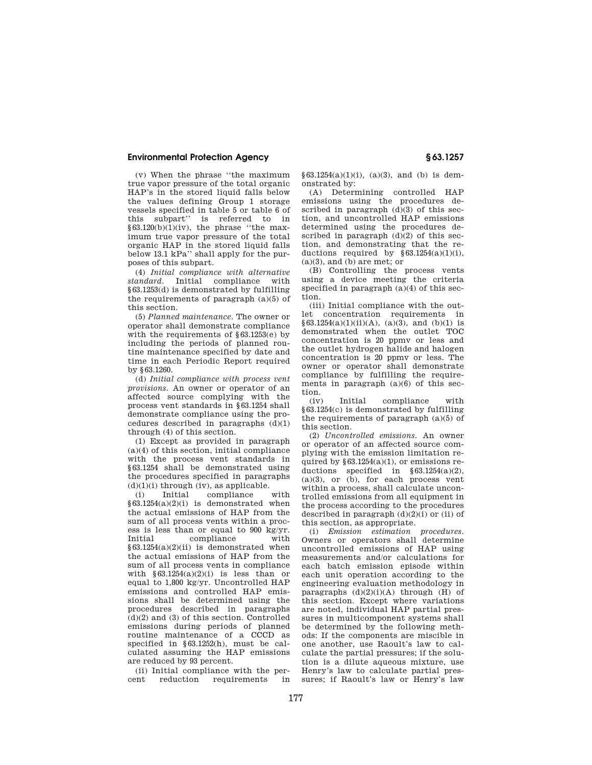(v) When the phrase ''the maximum true vapor pressure of the total organic HAP's in the stored liquid falls below the values defining Group 1 storage vessels specified in table 5 or table 6 of this subpart'' is referred to in  $\frac{63.120(b)(1)(iv)}{2}$ , the phrase "the maximum true vapor pressure of the total organic HAP in the stored liquid falls below 13.1 kPa'' shall apply for the purposes of this subpart.

(4) *Initial compliance with alternative standard.* Initial compliance with §63.1253(d) is demonstrated by fulfilling the requirements of paragraph (a)(5) of this section.

(5) *Planned maintenance.* The owner or operator shall demonstrate compliance with the requirements of  $\S 63.1253(e)$  by including the periods of planned routine maintenance specified by date and time in each Periodic Report required by §63.1260.

(d) *Initial compliance with process vent provisions.* An owner or operator of an affected source complying with the process vent standards in §63.1254 shall demonstrate compliance using the procedures described in paragraphs  $(d)(1)$ through (4) of this section.

(1) Except as provided in paragraph (a)(4) of this section, initial compliance with the process vent standards in §63.1254 shall be demonstrated using the procedures specified in paragraphs  $(d)(1)(i)$  through  $(iv)$ , as applicable.

(i) Initial compliance with  $§63.1254(a)(2)(i)$  is demonstrated when the actual emissions of HAP from the sum of all process vents within a process is less than or equal to 900 kg/yr. compliance  $§63.1254(a)(2)(ii)$  is demonstrated when the actual emissions of HAP from the sum of all process vents in compliance with  $§63.1254(a)(2)(i)$  is less than or equal to 1,800 kg/yr. Uncontrolled HAP emissions and controlled HAP emissions shall be determined using the procedures described in paragraphs  $(d)(2)$  and  $(3)$  of this section. Controlled emissions during periods of planned routine maintenance of a CCCD as specified in §63.1252(h), must be calculated assuming the HAP emissions are reduced by 93 percent.

(ii) Initial compliance with the per-<br>cent reduction requirements in requirements

§63.1254(a)(1)(i), (a)(3), and (b) is demonstrated by:

(A) Determining controlled HAP emissions using the procedures described in paragraph  $(d)(3)$  of this section, and uncontrolled HAP emissions determined using the procedures described in paragraph  $(d)(2)$  of this section, and demonstrating that the reductions required by  $\S 63.1254(a)(1)(i)$ ,  $(a)(3)$ , and  $(b)$  are met; or

(B) Controlling the process vents using a device meeting the criteria specified in paragraph (a)(4) of this section.

(iii) Initial compliance with the outlet concentration requirements in  $§ 63.1254(a)(1)(ii)(A), (a)(3), and (b)(1)$  is demonstrated when the outlet TOC concentration is 20 ppmv or less and the outlet hydrogen halide and halogen concentration is 20 ppmv or less. The owner or operator shall demonstrate compliance by fulfilling the requirements in paragraph (a)(6) of this section.

(iv) Initial compliance with §63.1254(c) is demonstrated by fulfilling the requirements of paragraph  $(a)(5)$  of this section.

(2) *Uncontrolled emissions.* An owner or operator of an affected source complying with the emission limitation required by  $§63.1254(a)(1)$ , or emissions reductions specified in §63.1254(a)(2),  $(a)(3)$ , or  $(b)$ , for each process vent within a process, shall calculate uncontrolled emissions from all equipment in the process according to the procedures described in paragraph (d)(2)(i) or (ii) of this section, as appropriate.

(i) *Emission estimation procedures.*  Owners or operators shall determine uncontrolled emissions of HAP using measurements and/or calculations for each batch emission episode within each unit operation according to the engineering evaluation methodology in paragraphs  $(d)(2)(i)(A)$  through  $(H)$  of this section. Except where variations are noted, individual HAP partial pressures in multicomponent systems shall be determined by the following methods: If the components are miscible in one another, use Raoult's law to calculate the partial pressures; if the solution is a dilute aqueous mixture, use Henry's law to calculate partial pressures; if Raoult's law or Henry's law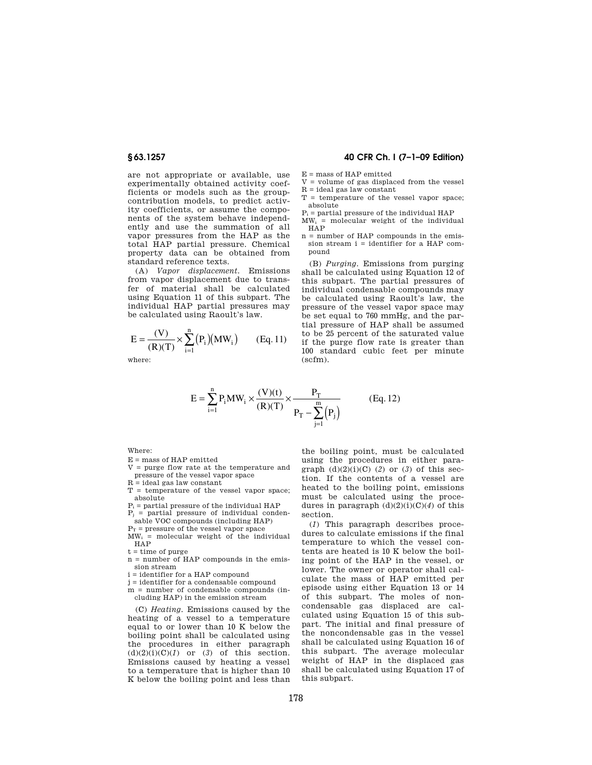are not appropriate or available, use experimentally obtained activity coefficients or models such as the groupcontribution models, to predict activity coefficients, or assume the components of the system behave independently and use the summation of all vapor pressures from the HAP as the total HAP partial pressure. Chemical property data can be obtained from standard reference texts.

(A) *Vapor displacement.* Emissions from vapor displacement due to transfer of material shall be calculated using Equation 11 of this subpart. The individual HAP partial pressures may be calculated using Raoult's law.

$$
E=\frac{(V)}{(R)(T)}\times \sum_{i=1}^n \big(P_i\big)\big(MW_i\big) \qquad (Eq.~11)
$$

where:

### **§ 63.1257 40 CFR Ch. I (7–1–09 Edition)**

 $E =$  mass of HAP emitted

- $V =$  volume of gas displaced from the vessel  $R = id$ eal gas law constant
- T = temperature of the vessel vapor space; absolute
- $P_i$  = partial pressure of the individual HAP
- $MW_i$  = molecular weight of the individual HAP
- n = number of HAP compounds in the emission stream i = identifier for a HAP compound

(B) *Purging.* Emissions from purging shall be calculated using Equation 12 of this subpart. The partial pressures of individual condensable compounds may be calculated using Raoult's law, the pressure of the vessel vapor space may be set equal to 760 mmHg, and the partial pressure of HAP shall be assumed to be 25 percent of the saturated value if the purge flow rate is greater than 100 standard cubic feet per minute (scfm).

$$
E = \sum_{i=1}^{n} P_i MW_i \times \frac{(V)(t)}{(R)(T)} \times \frac{P_T}{P_T - \sum_{j=1}^{m} (P_j)}
$$
(Eq. 12)

Where:

- $E =$  mass of HAP emitted
- V = purge flow rate at the temperature and pressure of the vessel vapor space
- $R = ideal$  gas law constant
- $T =$  temperature of the vessel vapor space: absolute
- $P_i$  = partial pressure of the individual HAP
- $P_i$  = partial pressure of individual condensable VOC compounds (including HAP)
- $P_T$  = pressure of the vessel vapor space
- $\overline{MW_i}$  = molecular weight of the individual HAP
- $t =$  time of purge
- n = number of HAP compounds in the emission stream
- i = identifier for a HAP compound
- $i =$  identifier for a condensable compound
- $m =$  number of condensable compounds (including HAP) in the emission stream

(C) *Heating.* Emissions caused by the heating of a vessel to a temperature equal to or lower than 10 K below the boiling point shall be calculated using the procedures in either paragraph  $(d)(2)(i)(C)(1)$  or  $(3)$  of this section. Emissions caused by heating a vessel to a temperature that is higher than 10 K below the boiling point and less than

the boiling point, must be calculated using the procedures in either paragraph  $(d)(2)(i)(C)$  (2) or (3) of this section. If the contents of a vessel are heated to the boiling point, emissions must be calculated using the procedures in paragraph (d)(2)(i)(C)(*4*) of this section.

(*1*) This paragraph describes procedures to calculate emissions if the final temperature to which the vessel contents are heated is 10 K below the boiling point of the HAP in the vessel, or lower. The owner or operator shall calculate the mass of HAP emitted per episode using either Equation 13 or 14 of this subpart. The moles of noncondensable gas displaced are calculated using Equation 15 of this subpart. The initial and final pressure of the noncondensable gas in the vessel shall be calculated using Equation 16 of this subpart. The average molecular weight of HAP in the displaced gas shall be calculated using Equation 17 of this subpart.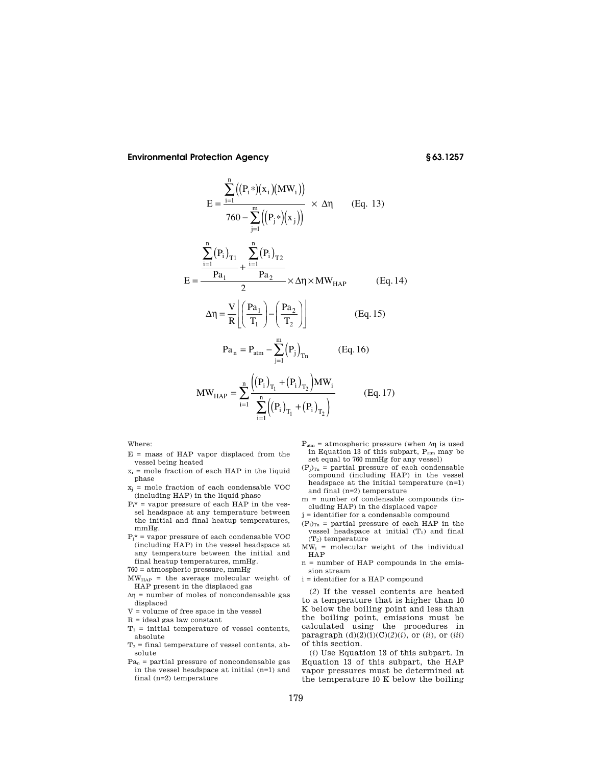n

$$
E = \frac{\sum_{i=1}^{n} ((P_i*) (x_i)(MW_i))}{760 - \sum_{j=1}^{m} ((P_j*) (x_j))} \times \Delta \eta
$$
 (Eq. 13)  

$$
\sum_{i=1}^{n} (P_i)_{T1} \sum_{i=1}^{n} (P_i)_{T2}
$$
  

$$
E = \frac{Pa_1}{2} + \frac{\sum_{i=1}^{n} (P_i)_{T2}}{2} \times \Delta \eta \times MW_{HAP}
$$
 (Eq. 14)  

$$
\Delta \eta = \frac{V}{R} \left[ \left( \frac{Pa_1}{T_1} \right) - \left( \frac{Pa_2}{T_2} \right) \right]
$$
 (Eq. 15)  

$$
Pa_n = P_{atm} - \sum_{j=1}^{m} (P_j)_{Tn}
$$
 (Eq. 16)

MW<sub>MAP</sub> = 
$$
\sum_{i=1}^{n} \frac{\left( (P_i)_{T_1} + (P_i)_{T_2} \right) MW_i}{\sum_{i=1}^{n} \left( (P_i)_{T_1} + (P_i)_{T_2} \right)}
$$
(Eq. 17)

Where:

- $E =$  mass of HAP vapor displaced from the vessel being heated
- $x_i$  = mole fraction of each HAP in the liquid phase
- $x_j$  = mole fraction of each condensable VOC (including HAP) in the liquid phase
- $P_i^*$  = vapor pressure of each HAP in the vessel headspace at any temperature between the initial and final heatup temperatures, mmHg.
- $\mathbf{P}_{\mathbf{j}^{\star}}$  = vapor pressure of each condensable VOC (including HAP) in the vessel headspace at any temperature between the initial and final heatup temperatures, mmHg.
- $760 =$  atmospheric pressure,  $\rm mmHg$
- MWHAP = the average molecular weight of HAP present in the displaced gas
- $\Delta \eta$  = number of moles of noncondensable gas displaced
- ${\tt V}$  = volume of free space in the vessel
- $R =$  ideal gas law constant
- $T_1$  = initial temperature of vessel contents, absolute
- $T_2$  = final temperature of vessel contents, absolute
- $Pa_n$  = partial pressure of noncondensable gas in the vessel headspace at initial (n=1) and final (n=2) temperature
- $P_{\text{atm}}$  = atmospheric pressure (when  $\Delta \eta$  is used in Equation 13 of this subpart, P<sub>atm</sub> may be set equal to 760 mmHg for any vessel)
- $(P_j)_{Tn}$  = partial pressure of each condensable compound (including HAP) in the vessel headspace at the initial temperature (n=1) and final (n=2) temperature
- m = number of condensable compounds (including HAP) in the displaced vapor
- j = identifier for a condensable compound
- $(P_i)_{Tn}$  = partial pressure of each HAP in the vessel headspace at initial  $\left(T_{1}\right)$  and final  $(T_2)$  temperature
- $MW_i$  = molecular weight of the individual HAP
- n = number of HAP compounds in the emission stream
- i = identifier for a HAP compound

(*2*) If the vessel contents are heated to a temperature that is higher than 10 K below the boiling point and less than the boiling point, emissions must be calculated using the procedures in paragraph  $(d)(2)(i)(C)(2)(i)$ , or  $(ii)$ , or  $(iii)$ of this section.

(*i*) Use Equation 13 of this subpart. In Equation 13 of this subpart, the HAP vapor pressures must be determined at the temperature 10 K below the boiling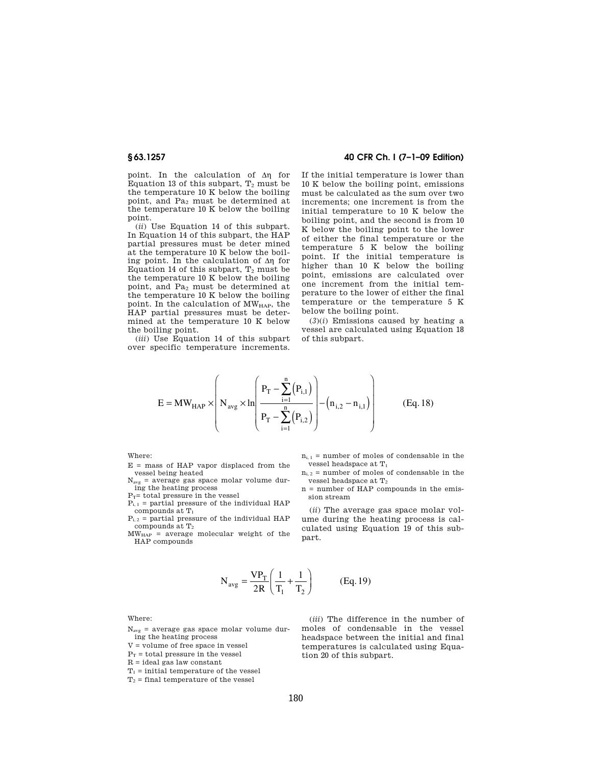point. In the calculation of  $\Delta \eta$  for Equation 13 of this subpart,  $T_2$  must be the temperature 10 K below the boiling point, and Pa<sup>2</sup> must be determined at the temperature 10 K below the boiling point.

(*ii*) Use Equation 14 of this subpart. In Equation 14 of this subpart, the HAP partial pressures must be deter mined at the temperature 10 K below the boiling point. In the calculation of  $\Delta \eta$  for Equation 14 of this subpart,  $T_2$  must be the temperature 10 K below the boiling point, and  $Pa<sub>2</sub>$  must be determined at the temperature 10 K below the boiling point. In the calculation of  $\texttt{MW}_{\texttt{HAP}},$  the HAP partial pressures must be determined at the temperature 10 K below the boiling point.

(*iii*) Use Equation 14 of this subpart over specific temperature increments.

## **§ 63.1257 40 CFR Ch. I (7–1–09 Edition)**

If the initial temperature is lower than 10 K below the boiling point, emissions must be calculated as the sum over two increments; one increment is from the initial temperature to 10 K below the boiling point, and the second is from 10 K below the boiling point to the lower of either the final temperature or the temperature 5 K below the boiling point. If the initial temperature is higher than 10 K below the boiling point, emissions are calculated over one increment from the initial temperature to the lower of either the final temperature or the temperature 5 K below the boiling point.

 $(3)(i)$  Emissions caused by heating a vessel are calculated using Equation 18 of this subpart.

$$
E = MW_{\text{HAP}} \times \left( N_{\text{avg}} \times \ln \left( \frac{P_{\text{T}} - \sum_{i=1}^{n} (P_{i,1})}{P_{\text{T}} - \sum_{i=1}^{n} (P_{i,2})} \right) - (n_{i,2} - n_{i,1}) \right)
$$
(Eq. 18)

Where:

E = mass of HAP vapor displaced from the vessel being heated

 $N_{avg}$  = average gas space molar volume during the heating process

 $P_T$ = total pressure in the vessel

 $P_{i, 1}$  = partial pressure of the individual HAP compounds at  $\mathcal{T}_1$ 

 $P_{i, 2}$  = partial pressure of the individual HAP compounds at  $T_2$ 

 $MW<sub>MAP</sub>$  = average molecular weight of the HAP compounds

 $n_{i, 1}$  = number of moles of condensable in the vessel headspace at T<sup>1</sup>

- $n_{i, 2}$  = number of moles of condensable in the vessel headspace at T<sub>2</sub>
- n = number of HAP compounds in the emission stream

(*ii*) The average gas space molar volume during the heating process is calculated using Equation 19 of this subpart.

$$
N_{avg} = \frac{VP_T}{2R} \left( \frac{1}{T_1} + \frac{1}{T_2} \right)
$$
 (Eq. 19)

Where:

 $N_{\text{avg}}$  = average gas space molar volume during the heating process

V = volume of free space in vessel

 $\mathrm{P_{T}}$  = total pressure in the vessel

 $R =$  ideal gas law constant

 $T_1$  = initial temperature of the vessel

 $T_2$  = final temperature of the vessel

(*iii*) The difference in the number of moles of condensable in the vessel headspace between the initial and final temperatures is calculated using Equation 20 of this subpart.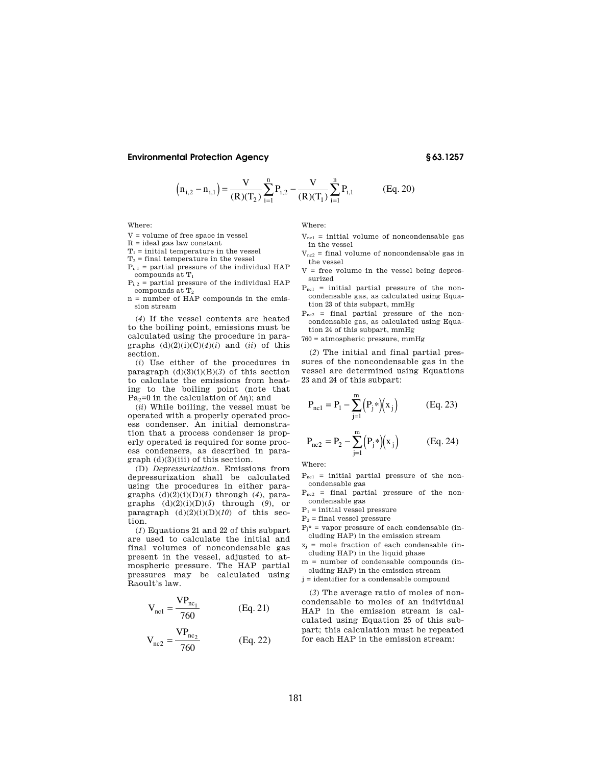$$
(n_{i,2} - n_{i,1}) = \frac{V}{(R)(T_2)} \sum_{i=1}^{n} P_{i,2} - \frac{V}{(R)(T_1)} \sum_{i=1}^{n} P_{i,1}
$$
 (Eq. 20)

Where:

$$
V =
$$
 volume of free space in vessel

 $R =$  ideal gas law constant

$$
T_1
$$
 = initial temperature in the vessel

 $\rm T_2$  = final temperature in the vessel

 $P_{i, 1}$  = partial pressure of the individual HAP compounds at  $\mathcal{T}_1$ 

 $P_{i, 2}$  = partial pressure of the individual HAP compounds at T<sup>2</sup>

n = number of HAP compounds in the emission stream

(*4*) If the vessel contents are heated to the boiling point, emissions must be calculated using the procedure in paragraphs  $(d)(2)(i)(C)(4)(i)$  and  $(ii)$  of this section.

(*i*) Use either of the procedures in paragraph  $(d)(3)(i)(B)(3)$  of this section to calculate the emissions from heating to the boiling point (note that Pa<sub>2</sub>=0 in the calculation of  $\Delta \eta$ ); and

(*ii*) While boiling, the vessel must be operated with a properly operated process condenser. An initial demonstration that a process condenser is properly operated is required for some process condensers, as described in para $graph$  (d)(3)(iii) of this section.

(D) *Depressurization.* Emissions from depressurization shall be calculated using the procedures in either paragraphs (d)(2)(i)(D)(*1*) through (*4*), paragraphs (d)(2)(i)(D)(*5*) through (*9*), or paragraph  $(d)(2)(i)(D)(10)$  of this section.

(*1*) Equations 21 and 22 of this subpart are used to calculate the initial and final volumes of noncondensable gas present in the vessel, adjusted to atmospheric pressure. The HAP partial pressures may be calculated using Raoult's law.

$$
V_{nc1} = \frac{VP_{nc_1}}{760}
$$
 (Eq. 21)

$$
V_{nc2} = \frac{VP_{nc_2}}{760}
$$
 (Eq. 22)

Where:

- $V_{nc1}$  = initial volume of noncondensable gas in the vessel
- $V_{\text{nc2}}$  = final volume of noncondensable gas in the vessel
- $V =$  free volume in the vessel being depressurized
- $P_{nc1}$  = initial partial pressure of the noncondensable gas, as calculated using Equation 23 of this subpart, mmHg
- $P_{nc2}$  = final partial pressure of the noncondensable gas, as calculated using Equation 24 of this subpart, mmHg

760 = atmospheric pressure, mmHg

(*2*) The initial and final partial pressures of the noncondensable gas in the vessel are determined using Equations 23 and 24 of this subpart:

$$
P_{nc1} = P_1 - \sum_{j=1}^{m} (P_j *)(x_j)
$$
 (Eq. 23)

$$
P_{nc2} = P_2 - \sum_{j=1}^{m} (P_j*) (x_j)
$$
 (Eq. 24)

Where:

- $P_{nc1}$  = initial partial pressure of the noncondensable gas
- $P_{nc2}$  = final partial pressure of the noncondensable gas
- $\mathbf{P}_1$  = initial vessel pressure
- $P_2$  = final vessel pressure
- $P_i^*$  = vapor pressure of each condensable (including HAP) in the emission stream
- $x_i$  = mole fraction of each condensable (including HAP) in the liquid phase

m = number of condensable compounds (including HAP) in the emission stream

j = identifier for a condensable compound

(*3*) The average ratio of moles of noncondensable to moles of an individual HAP in the emission stream is calculated using Equation 25 of this subpart; this calculation must be repeated for each HAP in the emission stream: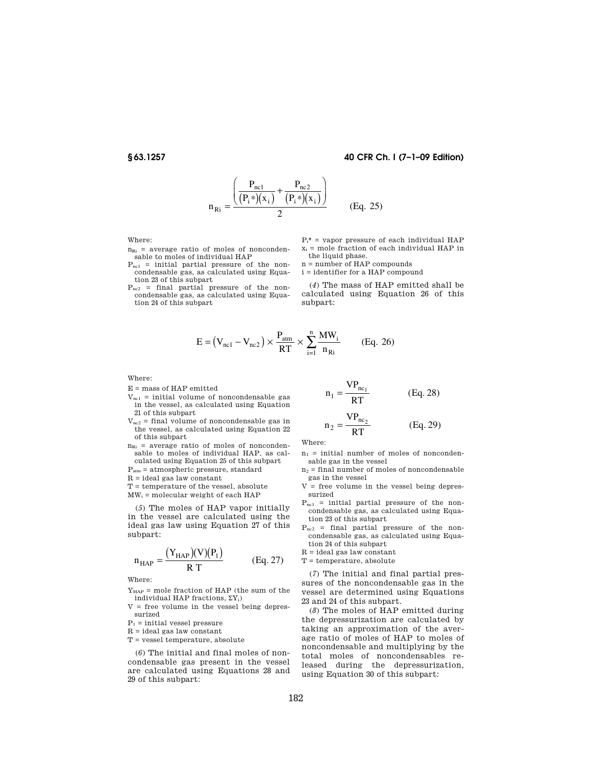# **§ 63.1257 40 CFR Ch. I (7–1–09 Edition)**

$$
n_{\text{Ri}} = \frac{\left(\frac{P_{\text{nc1}}}{(P_i*) (x_i)} + \frac{P_{\text{nc2}}}{(P_i*) (x_i)}\right)}{2}
$$
 (Eq. 25)

Where:

- $n_{\text{Ri}}$  = average ratio of moles of noncondensable to moles of individual HAP
- $P_{nc1}$  = initial partial pressure of the noncondensable gas, as calculated using Equation 23 of this subpart
- Pnc2 = final partial pressure of the noncondensable gas, as calculated using Equation 24 of this subpart

 $P_i^*$  = vapor pressure of each individual HAP  $x_i$  = mole fraction of each individual HAP in the liquid phase.

n = number of HAP compounds

i = identifier for a HAP compound

(*4*) The mass of HAP emitted shall be calculated using Equation 26 of this subpart:

$$
E = (V_{nc1} - V_{nc2}) \times \frac{P_{atm}}{RT} \times \sum_{i=1}^{n} \frac{MW_i}{n_{Ri}}
$$
 (Eq. 26)

Where:

- E = mass of HAP emitted
- $V_{nc1}$  = initial volume of noncondensable gas in the vessel, as calculated using Equation 21 of this subpart
- $V_{\text{nc2}}$  = final volume of noncondensable gas in the vessel, as calculated using Equation 22 of this subpart
- $n_{\text{Ri}}$  = average ratio of moles of noncondensable to moles of individual HAP, as calculated using Equation 25 of this subpart
- Patm = atmospheric pressure, standard

 $R =$  ideal gas law constant

- $T =$  temperature of the vessel, absolute
- $MW_i$  = molecular weight of each HAP

(*5*) The moles of HAP vapor initially in the vessel are calculated using the ideal gas law using Equation 27 of this subpart:

$$
n_{HAP} = \frac{(Y_{HAP})(V)(P_1)}{R T}
$$
 (Eq. 27)

Where:

- $Y<sub>HAP</sub>$  = mole fraction of HAP (the sum of the individual HAP fractions,  $\Sigma Y_i$ )
- $V =$  free volume in the vessel being depressurized
- $P_1$  = initial vessel pressure
- $\mathbf{R}$  = ideal gas law constant

T = vessel temperature, absolute

(*6*) The initial and final moles of noncondensable gas present in the vessel are calculated using Equations 28 and 29 of this subpart:

$$
n_1 = \frac{VP_{nc_1}}{RT}
$$
 (Eq. 28)

$$
n_2 = \frac{VP_{nc_2}}{RT}
$$
 (Eq. 29)

Where:

- $n_1$  = initial number of moles of noncondensable gas in the vessel
- $n_2$  = final number of moles of noncondensable gas in the vessel
- $V =$  free volume in the vessel being depressurized
- $P_{nc1}$  = initial partial pressure of the noncondensable gas, as calculated using Equation 23 of this subpart
- $P_{nc2}$  = final partial pressure of the noncondensable gas, as calculated using Equation 24 of this subpart

 $\mathbf{R}$  = ideal gas law constant

 $T =$  temperature, absolute

(*7*) The initial and final partial pressures of the noncondensable gas in the vessel are determined using Equations 23 and 24 of this subpart.

(*8*) The moles of HAP emitted during the depressurization are calculated by taking an approximation of the average ratio of moles of HAP to moles of noncondensable and multiplying by the total moles of noncondensables released during the depressurization, using Equation 30 of this subpart: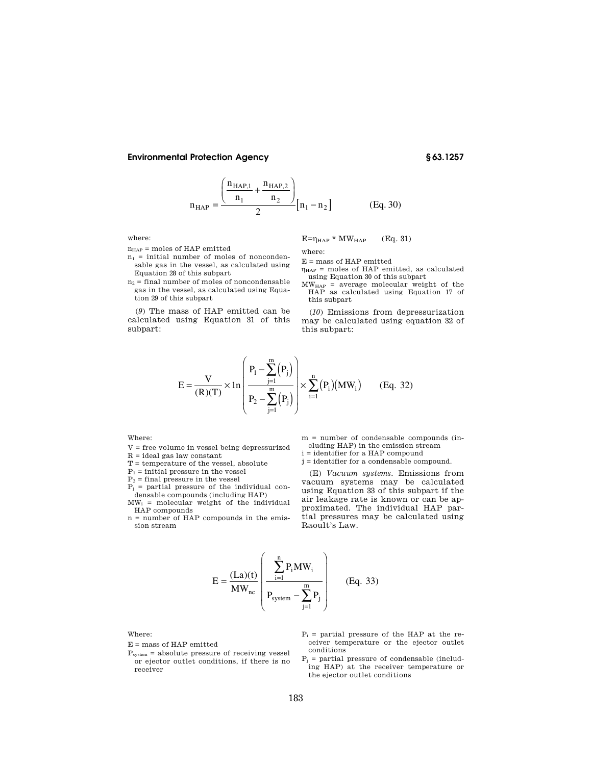$$
n_{\text{HAP}} = \frac{\left(\frac{n_{\text{HAP,1}}}{n_1} + \frac{n_{\text{HAP,2}}}{n_2}\right)}{2} [n_1 - n_2]
$$
 (Eq. 30)

where:

 $n<sub>HAP</sub>$  = moles of HAP emitted

- $n_1$  = initial number of moles of noncondensable gas in the vessel, as calculated using Equation 28 of this subpart
- $n_2$  = final number of moles of noncondensable gas in the vessel, as calculated using Equation 29 of this subpart

(*9*) The mass of HAP emitted can be calculated using Equation 31 of this subpart:

 $E=\eta_{HAP} * MW_{HAP}$  (Eq. 31)

where:

E = mass of HAP emitted

- $\eta_{\text{HAP}}$  = moles of HAP emitted, as calculated using Equation 30 of this subpart
- $MW<sub>MAP</sub>$  = average molecular weight of the HAP as calculated using Equation 17 of this subpart

(*10*) Emissions from depressurization may be calculated using equation 32 of this subpart:

$$
E = \frac{V}{(R)(T)} \times \ln \left( \frac{P_1 - \sum_{j=1}^{m} (P_j)}{P_2 - \sum_{j=1}^{m} (P_j)} \right) \times \sum_{i=1}^{n} (P_i)(MW_i)
$$
 (Eq. 32)

### Where:

- V = free volume in vessel being depressurized
- $\mathbf{R} = \text{ideal gas}$ law constant
- $T =$  temperature of the vessel, absolute
- $P_1$  = initial pressure in the vessel

 $P_2$  = final pressure in the vessel

- $P_i$  = partial pressure of the individual con-
- densable compounds (including HAP)  $MW_i$  = molecular weight of the individual HAP compounds
- n = number of HAP compounds in the emission stream

m = number of condensable compounds (including HAP) in the emission stream

- i = identifier for a HAP compound
- j = identifier for a condensable compound.

(E) *Vacuum systems.* Emissions from vacuum systems may be calculated using Equation 33 of this subpart if the air leakage rate is known or can be approximated. The individual HAP partial pressures may be calculated using Raoult's Law.

$$
E = \frac{(La)(t)}{MW_{nc}} \left( \frac{\sum_{i=1}^{n} P_i MW_i}{P_{system} - \sum_{j=1}^{m} P_j} \right) \qquad (Eq. 33)
$$

Where:

- E = mass of HAP emitted
- $P_{system}$  = absolute pressure of receiving vessel or ejector outlet conditions, if there is no receiver
- $P_i$  = partial pressure of the HAP at the receiver temperature or the ejector outlet conditions
- $P_j$  = partial pressure of condensable (including HAP) at the receiver temperature or the ejector outlet conditions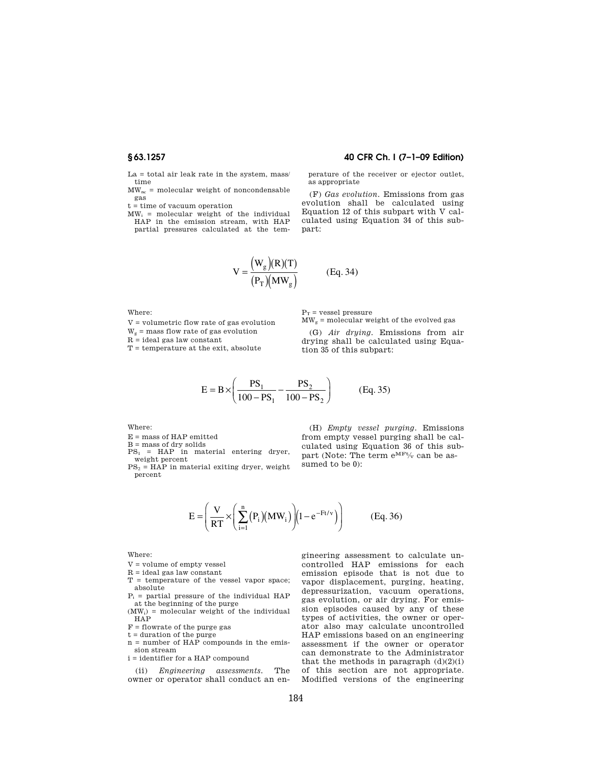La = total air leak rate in the system, mass/ time

 $MW_{nc}$  = molecular weight of noncondensable gas

 ${\bf t}$  = time of vacuum operation

 $MW_i$  = molecular weight of the individual HAP in the emission stream, with HAP partial pressures calculated at the tem-

# **§ 63.1257 40 CFR Ch. I (7–1–09 Edition)**

perature of the receiver or ejector outlet, as appropriate

(F) *Gas evolution.* Emissions from gas evolution shall be calculated using Equation 12 of this subpart with V calculated using Equation 34 of this subpart:

$$
V = \frac{W_g(R)(T)}{(P_T)(MW_g)}
$$
 (Eq. 34)

Where:

 ${\tt V}$  = volumetric flow rate of gas evolution

 $W_g$  = mass flow rate of gas evolution

R = ideal gas law constant

 $T =$  temperature at the exit, absolute

 $\mathrm{P_{T}} = \mathrm{vessel}$  pressure  $\text{MW}_\text{g} = \text{molecular weight}$  of the evolved gas

(G) *Air drying.* Emissions from air drying shall be calculated using Equa-

$$
35 \text{ of this subpart:}
$$

$$
E = B \times \left(\frac{PS_1}{100 - PS_1} - \frac{PS_2}{100 - PS_2}\right) \qquad (Eq. 35)
$$

Where:

E = mass of HAP emitted

B = mass of dry solids<br>PS<sub>1</sub> = HAP in material entering dryer, weight percent<br> $PS<sub>2</sub> = HAP$  in material exiting dryer, weight

percent

(H) *Empty vessel purging.* Emissions from empty vessel purging shall be calculated using Equation 36 of this subpart (Note: The term  $e^{MFt/\sqrt{g}}$  can be assumed to be 0):

$$
E = \left(\frac{V}{RT} \times \left(\sum_{i=1}^{n} (P_i)(MW_i)\right)\left(1 - e^{-Ft/v}\right)\right) \tag{Eq. 36}
$$

Where:

- $\mathbf{V} = \mathbf{volume}$  of empty vessel
- $\mathbf{R} = \text{ideal gas}$ law constant
- T = temperature of the vessel vapor space; absolute
- $P_i$  = partial pressure of the individual HAP at the beginning of the purge
- $(MW<sub>i</sub>)$  = molecular weight of the individual HAP
- F = flowrate of the purge gas
- t = duration of the purge
- n = number of HAP compounds in the emission stream
- i = identifier for a HAP compound

(ii) *Engineering assessments.* The owner or operator shall conduct an en-

gineering assessment to calculate uncontrolled HAP emissions for each emission episode that is not due to vapor displacement, purging, heating, depressurization, vacuum operations, gas evolution, or air drying. For emission episodes caused by any of these types of activities, the owner or operator also may calculate uncontrolled HAP emissions based on an engineering assessment if the owner or operator can demonstrate to the Administrator that the methods in paragraph  $(d)(2)(i)$ of this section are not appropriate. Modified versions of the engineering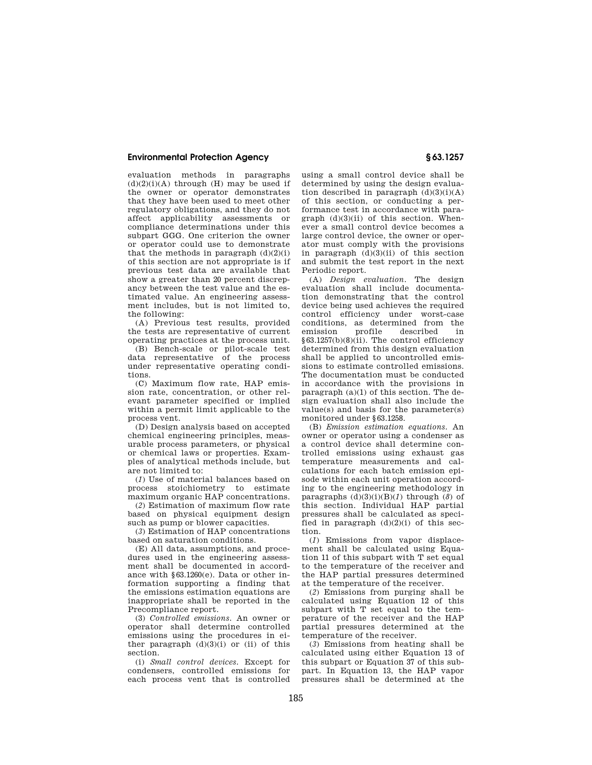evaluation methods in paragraphs  $(d)(2)(i)$ (A) through (H) may be used if the owner or operator demonstrates that they have been used to meet other regulatory obligations, and they do not affect applicability assessments or compliance determinations under this subpart GGG. One criterion the owner or operator could use to demonstrate that the methods in paragraph  $(d)(2)(i)$ of this section are not appropriate is if previous test data are available that show a greater than 20 percent discrepancy between the test value and the estimated value. An engineering assessment includes, but is not limited to, the following:

(A) Previous test results, provided the tests are representative of current operating practices at the process unit.

(B) Bench-scale or pilot-scale test data representative of the process under representative operating conditions.

(C) Maximum flow rate, HAP emission rate, concentration, or other relevant parameter specified or implied within a permit limit applicable to the process vent.

(D) Design analysis based on accepted chemical engineering principles, measurable process parameters, or physical or chemical laws or properties. Examples of analytical methods include, but are not limited to:

(*1*) Use of material balances based on process stoichiometry to estimate maximum organic HAP concentrations.

(*2*) Estimation of maximum flow rate based on physical equipment design such as pump or blower capacities.

(*3*) Estimation of HAP concentrations based on saturation conditions.

(E) All data, assumptions, and procedures used in the engineering assessment shall be documented in accordance with §63.1260(e). Data or other information supporting a finding that the emissions estimation equations are inappropriate shall be reported in the Precompliance report.

(3) *Controlled emissions.* An owner or operator shall determine controlled emissions using the procedures in either paragraph  $(d)(3)(i)$  or (ii) of this section.

(i) *Small control devices.* Except for condensers, controlled emissions for each process vent that is controlled

using a small control device shall be determined by using the design evaluation described in paragraph  $(d)(3)(i)(A)$ of this section, or conducting a performance test in accordance with paragraph  $(d)(3)(ii)$  of this section. Whenever a small control device becomes a large control device, the owner or operator must comply with the provisions in paragraph (d)(3)(ii) of this section and submit the test report in the next Periodic report.

(A) *Design evaluation.* The design evaluation shall include documentation demonstrating that the control device being used achieves the required control efficiency under worst-case conditions, as determined from the described in §63.1257(b)(8)(ii). The control efficiency determined from this design evaluation shall be applied to uncontrolled emissions to estimate controlled emissions. The documentation must be conducted in accordance with the provisions in paragraph (a)(1) of this section. The design evaluation shall also include the value(s) and basis for the parameter(s) monitored under §63.1258.

(B) *Emission estimation equations.* An owner or operator using a condenser as a control device shall determine controlled emissions using exhaust gas temperature measurements and calculations for each batch emission episode within each unit operation according to the engineering methodology in paragraphs  $(d)(3)(i)(B)(I)$  through  $(8)$  of this section. Individual HAP partial pressures shall be calculated as specified in paragraph  $(d)(2)(i)$  of this section.

(*1*) Emissions from vapor displacement shall be calculated using Equation 11 of this subpart with T set equal to the temperature of the receiver and the HAP partial pressures determined at the temperature of the receiver.

(*2*) Emissions from purging shall be calculated using Equation 12 of this subpart with T set equal to the temperature of the receiver and the HAP partial pressures determined at the temperature of the receiver.

(*3*) Emissions from heating shall be calculated using either Equation 13 of this subpart or Equation 37 of this subpart. In Equation 13, the HAP vapor pressures shall be determined at the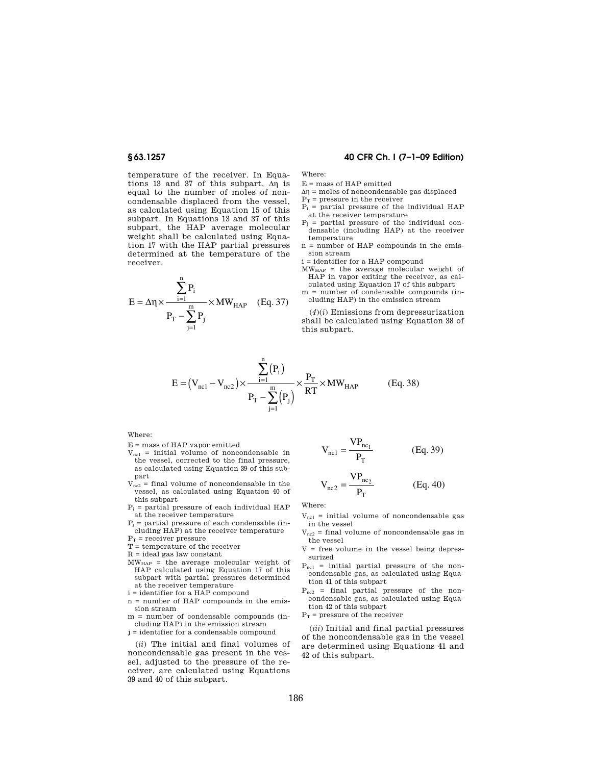temperature of the receiver. In Equations 13 and 37 of this subpart,  $\Delta \eta$  is equal to the number of moles of noncondensable displaced from the vessel, as calculated using Equation 15 of this subpart. In Equations 13 and 37 of this subpart, the HAP average molecular weight shall be calculated using Equation 17 with the HAP partial pressures determined at the temperature of the receiver.

$$
E = \Delta \eta \times \frac{\sum_{i=1}^{n} P_i}{P_T - \sum_{j=1}^{m} P_j} \times MW_{HAP} \quad (Eq. 37)
$$

# **§ 63.1257 40 CFR Ch. I (7–1–09 Edition)**

Where:

- E = mass of HAP emitted
- $\Delta \eta$  = moles of noncondensable gas displaced
- $P_T$  = pressure in the receiver
- $P_i$  = partial pressure of the individual HAP at the receiver temperature
- $P_j$  = partial pressure of the individual condensable (including HAP) at the receiver temperature
- n = number of HAP compounds in the emission stream
- i = identifier for a HAP compound
- $MW_{HAP}$  = the average molecular weight of HAP in vapor exiting the receiver, as calculated using Equation 17 of this subpart
- m = number of condensable compounds (including HAP) in the emission stream

(*4*)(*i*) Emissions from depressurization shall be calculated using Equation 38 of this subpart.

$$
E = (V_{nc1} - V_{nc2}) \times \frac{\sum_{i=1}^{N} (P_i)}{P_T - \sum_{j=1}^{m} (P_j)} \times \frac{P_T}{RT} \times MW_{HAP}
$$
 (Eq. 38)

n

Where:

- ${\bf E}$  = mass of HAP vapor emitted
- $V_{nc1}$  = initial volume of noncondensable in the vessel, corrected to the final pressure, as calculated using Equation 39 of this subpart
- $V<sub>nc2</sub> = final volume of noncondensable in the$ vessel, as calculated using Equation 40 of this subpart
- $P_i$  = partial pressure of each individual HAP at the receiver temperature
- $P_i$  = partial pressure of each condensable (including HAP) at the receiver temperature
- $\mathbf{P}_\text{T}$  = receiver pressure
- T = temperature of the receiver
- $R = ideal$  gas law constant
- MWHAP = the average molecular weight of HAP calculated using Equation 17 of this subpart with partial pressures determined at the receiver temperature
- $\mathbf i = \text{identity for a HAP compound}$
- n = number of HAP compounds in the emission stream
- m = number of condensable compounds (including HAP) in the emission stream
- j = identifier for a condensable compound

(*ii*) The initial and final volumes of noncondensable gas present in the vessel, adjusted to the pressure of the receiver, are calculated using Equations 39 and 40 of this subpart.

$$
V_{nc1} = \frac{VP_{nc_1}}{P_T}
$$
 (Eq. 39)

$$
V_{nc2} = \frac{VP_{nc_2}}{P_T}
$$
 (Eq. 40)

Where:

- $V_{\text{nc1}}$  = initial volume of noncondensable gas in the vessel
- $V_{nc2}$  = final volume of noncondensable gas in the vessel
- $V =$  free volume in the vessel being depressurized
- $P_{nc1}$  = initial partial pressure of the noncondensable gas, as calculated using Equation 41 of this subpart
- Pnc2 = final partial pressure of the noncondensable gas, as calculated using Equation 42 of this subpart
- $P_T$  = pressure of the receiver

(*iii*) Initial and final partial pressures of the noncondensable gas in the vessel are determined using Equations 41 and 42 of this subpart.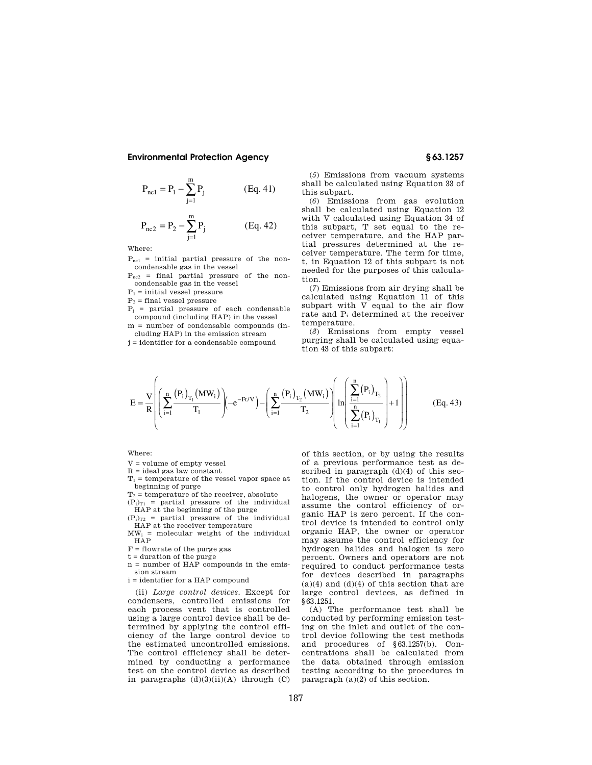$$
P_{nc1} = P_1 - \sum_{j=1}^{m} P_j
$$
 (Eq. 41)

$$
P_{nc2} = P_2 - \sum_{j=1}^{m} P_j
$$
 (Eq. 42)

Where:

 $P_{nc1}$  = initial partial pressure of the noncondensable gas in the vessel

 $P_{nc2}$  = final partial pressure of the noncondensable gas in the vessel

 $\mathbf{P}_1$  = initial vessel pressure

 $P_2$  = final vessel pressure

 $P_i$  = partial pressure of each condensable compound (including HAP) in the vessel

m = number of condensable compounds (including HAP) in the emission stream

j = identifier for a condensable compound

(*5*) Emissions from vacuum systems shall be calculated using Equation 33 of this subpart.

(*6*) Emissions from gas evolution shall be calculated using Equation 12 with V calculated using Equation 34 of this subpart, T set equal to the receiver temperature, and the HAP partial pressures determined at the receiver temperature. The term for time, t, in Equation 12 of this subpart is not needed for the purposes of this calculation.

(*7*) Emissions from air drying shall be calculated using Equation 11 of this subpart with V equal to the air flow rate and P<sup>i</sup> determined at the receiver temperature.

(*8*) Emissions from empty vessel purging shall be calculated using equation 43 of this subpart:

$$
E = \frac{V}{R} \left( \sum_{i=1}^{n} \frac{(P_i)_{T_1} (MW_i)}{T_1} \right) \left( -e^{-Ft/V} \right) - \left( \sum_{i=1}^{n} \frac{(P_i)_{T_2} (MW_i)}{T_2} \right) \left( \ln \left( \frac{\sum_{i=1}^{n} (P_i)_{T_2}}{\sum_{i=1}^{n} (P_i)_{T_1}} \right) + 1 \right) \right)
$$
(Eq. 43)

Where:

V = volume of empty vessel

 $R =$  ideal gas law constant

 $T_1$  = temperature of the vessel vapor space at beginning of purge

 $T_2$  = temperature of the receiver, absolute

 $(P_i)_{T1}$  = partial pressure of the individual

HAP at the beginning of the purge  $(P_i)_{T2}$  = partial pressure of the individual

HAP at the receiver temperature  $MW_i$  = molecular weight of the individual HAP

F = flowrate of the purge gas

t = duration of the purge

n = number of HAP compounds in the emission stream

 $\mathbf i$  = identifier for a HAP compound

(ii) *Large control devices.* Except for condensers, controlled emissions for each process vent that is controlled using a large control device shall be determined by applying the control efficiency of the large control device to the estimated uncontrolled emissions. The control efficiency shall be determined by conducting a performance test on the control device as described in paragraphs  $(d)(3)(ii)(A)$  through  $(C)$  of this section, or by using the results of a previous performance test as described in paragraph (d)(4) of this section. If the control device is intended to control only hydrogen halides and halogens, the owner or operator may assume the control efficiency of organic HAP is zero percent. If the control device is intended to control only organic HAP, the owner or operator may assume the control efficiency for hydrogen halides and halogen is zero percent. Owners and operators are not required to conduct performance tests for devices described in paragraphs  $(a)(4)$  and  $(d)(4)$  of this section that are large control devices, as defined in §63.1251.

(A) The performance test shall be conducted by performing emission testing on the inlet and outlet of the control device following the test methods and procedures of §63.1257(b). Concentrations shall be calculated from the data obtained through emission testing according to the procedures in paragraph (a)(2) of this section.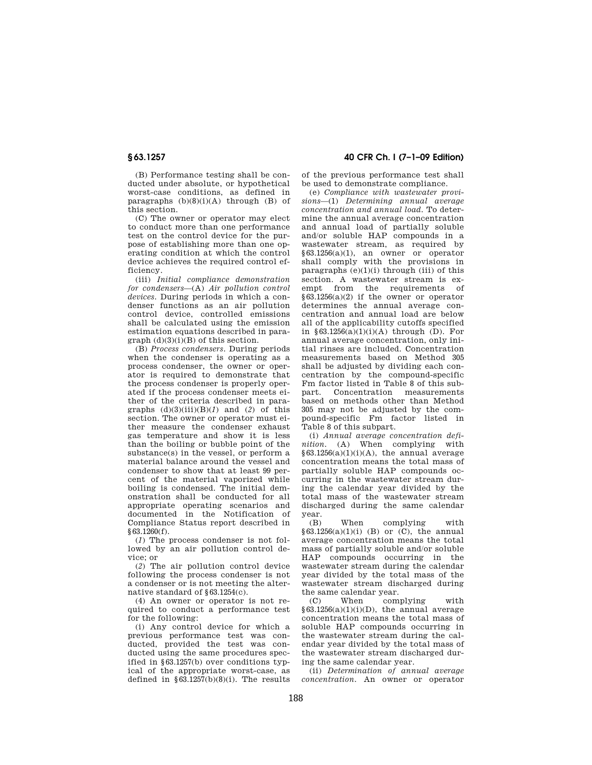(B) Performance testing shall be conducted under absolute, or hypothetical worst-case conditions, as defined in paragraphs  $(b)(8)(i)(A)$  through  $(B)$  of this section.

(C) The owner or operator may elect to conduct more than one performance test on the control device for the purpose of establishing more than one operating condition at which the control device achieves the required control efficiency.

(iii) *Initial compliance demonstration for condensers*—(A) *Air pollution control devices.* During periods in which a condenser functions as an air pollution control device, controlled emissions shall be calculated using the emission estimation equations described in paragraph  $(d)(3)(i)(B)$  of this section.

(B) *Process condensers.* During periods when the condenser is operating as a process condenser, the owner or operator is required to demonstrate that the process condenser is properly operated if the process condenser meets either of the criteria described in paragraphs  $(d)(3)(iii)(B)(1)$  and  $(2)$  of this section. The owner or operator must either measure the condenser exhaust gas temperature and show it is less than the boiling or bubble point of the substance(s) in the vessel, or perform a material balance around the vessel and condenser to show that at least 99 percent of the material vaporized while boiling is condensed. The initial demonstration shall be conducted for all appropriate operating scenarios and documented in the Notification of Compliance Status report described in §63.1260(f).

(*1*) The process condenser is not followed by an air pollution control device; or

(*2*) The air pollution control device following the process condenser is not a condenser or is not meeting the alternative standard of §63.1254(c).

(4) An owner or operator is not required to conduct a performance test for the following:

(i) Any control device for which a previous performance test was conducted, provided the test was conducted using the same procedures specified in §63.1257(b) over conditions typical of the appropriate worst-case, as defined in  $\S 63.1257(b)(8)(i)$ . The results

# **§ 63.1257 40 CFR Ch. I (7–1–09 Edition)**

of the previous performance test shall be used to demonstrate compliance.

(e) *Compliance with wastewater provisions*—(1) *Determining annual average concentration and annual load.* To determine the annual average concentration and annual load of partially soluble and/or soluble HAP compounds in a wastewater stream, as required by §63.1256(a)(1), an owner or operator shall comply with the provisions in paragraphs  $(e)(1)(i)$  through (iii) of this section. A wastewater stream is exempt from the requirements of §63.1256(a)(2) if the owner or operator determines the annual average concentration and annual load are below all of the applicability cutoffs specified in  $§63.1256(a)(1)(i)(A)$  through (D). For annual average concentration, only initial rinses are included. Concentration measurements based on Method 305 shall be adjusted by dividing each concentration by the compound-specific Fm factor listed in Table 8 of this subpart. Concentration measurements based on methods other than Method 305 may not be adjusted by the compound-specific Fm factor listed in Table 8 of this subpart.

(i) *Annual average concentration definition.* (A) When complying with  $§63.1256(a)(1)(i)(A)$ , the annual average concentration means the total mass of partially soluble HAP compounds occurring in the wastewater stream during the calendar year divided by the total mass of the wastewater stream discharged during the same calendar year.

(B) When complying with  $§63.1256(a)(1)(i)$  (B) or (C), the annual average concentration means the total mass of partially soluble and/or soluble HAP compounds occurring in the wastewater stream during the calendar year divided by the total mass of the wastewater stream discharged during the same calendar year.

(C) When complying with  $§63.1256(a)(1)(i)(D)$ , the annual average concentration means the total mass of soluble HAP compounds occurring in the wastewater stream during the calendar year divided by the total mass of the wastewater stream discharged during the same calendar year.

(ii) *Determination of annual average concentration.* An owner or operator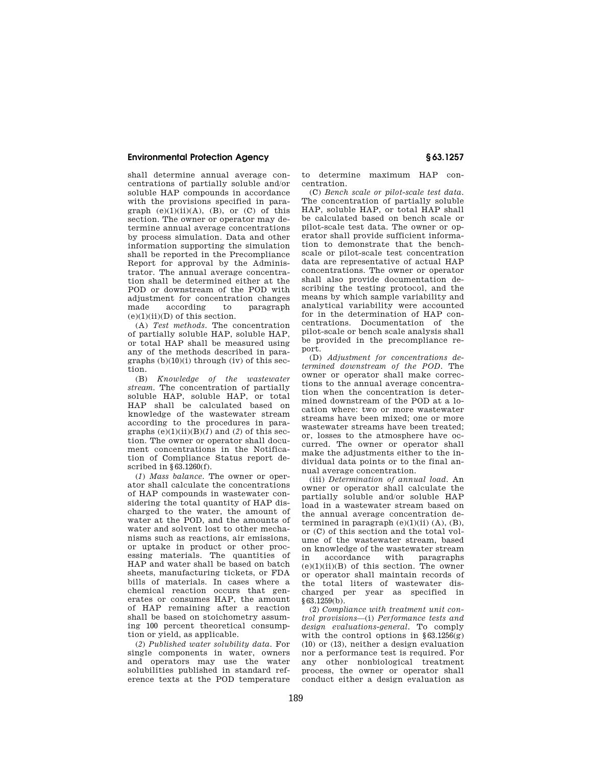shall determine annual average concentrations of partially soluble and/or soluble HAP compounds in accordance with the provisions specified in paragraph  $(e)(1)(ii)(A)$ ,  $(B)$ , or  $(C)$  of this section. The owner or operator may determine annual average concentrations by process simulation. Data and other information supporting the simulation shall be reported in the Precompliance Report for approval by the Administrator. The annual average concentration shall be determined either at the POD or downstream of the POD with adjustment for concentration changes made according to paragraph  $(e)(1)(ii)(D)$  of this section.

(A) *Test methods.* The concentration of partially soluble HAP, soluble HAP, or total HAP shall be measured using any of the methods described in paragraphs (b)(10)(i) through (iv) of this section.

(B) *Knowledge of the wastewater stream.* The concentration of partially soluble HAP, soluble HAP, or total HAP shall be calculated based on knowledge of the wastewater stream according to the procedures in paragraphs  $(e)(1)(ii)(B)(I)$  and  $(2)$  of this section. The owner or operator shall document concentrations in the Notification of Compliance Status report described in §63.1260(f).

(*1*) *Mass balance.* The owner or operator shall calculate the concentrations of HAP compounds in wastewater considering the total quantity of HAP discharged to the water, the amount of water at the POD, and the amounts of water and solvent lost to other mechanisms such as reactions, air emissions, or uptake in product or other processing materials. The quantities of HAP and water shall be based on batch sheets, manufacturing tickets, or FDA bills of materials. In cases where a chemical reaction occurs that generates or consumes HAP, the amount of HAP remaining after a reaction shall be based on stoichometry assuming 100 percent theoretical consumption or yield, as applicable.

(*2*) *Published water solubility data.* For single components in water, owners and operators may use the water solubilities published in standard reference texts at the POD temperature to determine maximum HAP concentration.

(C) *Bench scale or pilot-scale test data.*  The concentration of partially soluble HAP, soluble HAP, or total HAP shall be calculated based on bench scale or pilot-scale test data. The owner or operator shall provide sufficient information to demonstrate that the benchscale or pilot-scale test concentration data are representative of actual HAP concentrations. The owner or operator shall also provide documentation describing the testing protocol, and the means by which sample variability and analytical variability were accounted for in the determination of HAP concentrations. Documentation of the pilot-scale or bench scale analysis shall be provided in the precompliance report.

(D) *Adjustment for concentrations determined downstream of the POD.* The owner or operator shall make corrections to the annual average concentration when the concentration is determined downstream of the POD at a location where: two or more wastewater streams have been mixed; one or more wastewater streams have been treated; or, losses to the atmosphere have occurred. The owner or operator shall make the adjustments either to the individual data points or to the final annual average concentration.

(iii) *Determination of annual load.* An owner or operator shall calculate the partially soluble and/or soluble HAP load in a wastewater stream based on the annual average concentration determined in paragraph  $(e)(1)(ii)$   $(A)$ ,  $(B)$ , or (C) of this section and the total volume of the wastewater stream, based on knowledge of the wastewater stream<br>in accordance with paragraphs in accordance with paragraphs  $(e)(1)(ii)(B)$  of this section. The owner or operator shall maintain records of the total liters of wastewater discharged per year as specified in §63.1259(b).

(2) *Compliance with treatment unit control provisions*—(i) *Performance tests and design evaluations-general.* To comply with the control options in  $§63.1256(g)$ (10) or (13), neither a design evaluation nor a performance test is required. For any other nonbiological treatment process, the owner or operator shall conduct either a design evaluation as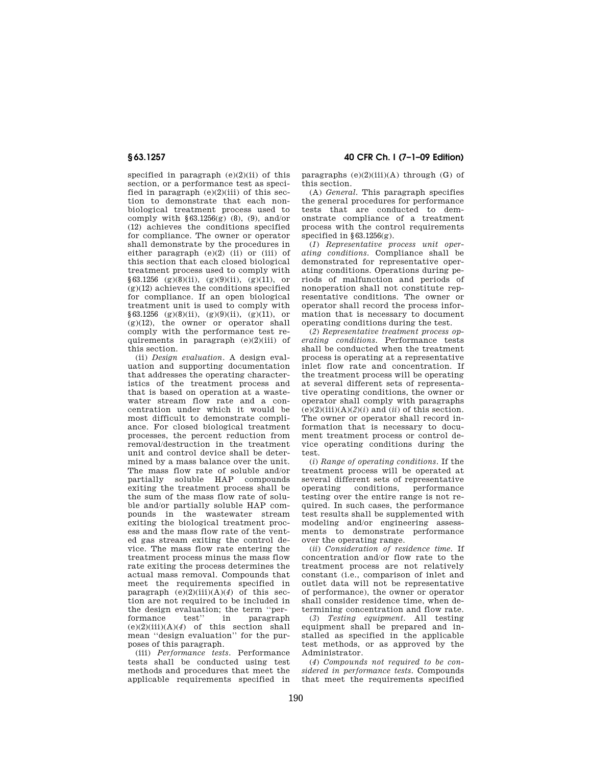specified in paragraph (e)(2)(ii) of this section, or a performance test as specified in paragraph  $(e)(2)(iii)$  of this section to demonstrate that each nonbiological treatment process used to comply with  $\S 63.1256(g)$  (8), (9), and/or (12) achieves the conditions specified for compliance. The owner or operator shall demonstrate by the procedures in either paragraph  $(e)(2)$  (ii) or (iii) of this section that each closed biological treatment process used to comply with  $§63.1256$  (g)(8)(ii), (g)(9)(ii), (g)(11), or  $(g)(12)$  achieves the conditions specified for compliance. If an open biological treatment unit is used to comply with §63.1256 (g)(8)(ii), (g)(9)(ii), (g)(11), or (g)(12), the owner or operator shall comply with the performance test requirements in paragraph  $(e)(2)(iii)$  of this section.

(ii) *Design evaluation.* A design evaluation and supporting documentation that addresses the operating characteristics of the treatment process and that is based on operation at a wastewater stream flow rate and a concentration under which it would be most difficult to demonstrate compliance. For closed biological treatment processes, the percent reduction from removal/destruction in the treatment unit and control device shall be determined by a mass balance over the unit. The mass flow rate of soluble and/or partially soluble HAP compounds exiting the treatment process shall be the sum of the mass flow rate of soluble and/or partially soluble HAP compounds in the wastewater stream exiting the biological treatment process and the mass flow rate of the vented gas stream exiting the control device. The mass flow rate entering the treatment process minus the mass flow rate exiting the process determines the actual mass removal. Compounds that meet the requirements specified in paragraph  $(e)(2)(iii)(A)(4)$  of this section are not required to be included in the design evaluation; the term "per-<br>formance test." in paragraph formance test'' in paragraph  $(e)(2)(iii)(A)(4)$  of this section shall mean ''design evaluation'' for the purposes of this paragraph.

(iii) *Performance tests.* Performance tests shall be conducted using test methods and procedures that meet the applicable requirements specified in

**§ 63.1257 40 CFR Ch. I (7–1–09 Edition)** 

paragraphs  $(e)(2)(iii)(A)$  through  $(G)$  of this section.

(A) *General.* This paragraph specifies the general procedures for performance tests that are conducted to demonstrate compliance of a treatment process with the control requirements specified in  $§63.1256(g)$ .

(*1*) *Representative process unit operating conditions.* Compliance shall be demonstrated for representative operating conditions. Operations during periods of malfunction and periods of nonoperation shall not constitute representative conditions. The owner or operator shall record the process information that is necessary to document operating conditions during the test.

(*2*) *Representative treatment process operating conditions.* Performance tests shall be conducted when the treatment process is operating at a representative inlet flow rate and concentration. If the treatment process will be operating at several different sets of representative operating conditions, the owner or operator shall comply with paragraphs  $(e)(2)(iii)(A)(2)(i)$  and  $(ii)$  of this section. The owner or operator shall record information that is necessary to document treatment process or control device operating conditions during the test.

(*i*) *Range of operating conditions.* If the treatment process will be operated at several different sets of representative operating conditions, performance testing over the entire range is not required. In such cases, the performance test results shall be supplemented with modeling and/or engineering assessments to demonstrate performance over the operating range.

(*ii*) *Consideration of residence time.* If concentration and/or flow rate to the treatment process are not relatively constant (i.e., comparison of inlet and outlet data will not be representative of performance), the owner or operator shall consider residence time, when determining concentration and flow rate.

(*3*) *Testing equipment.* All testing equipment shall be prepared and installed as specified in the applicable test methods, or as approved by the Administrator.

(*4*) *Compounds not required to be considered in performance tests.* Compounds that meet the requirements specified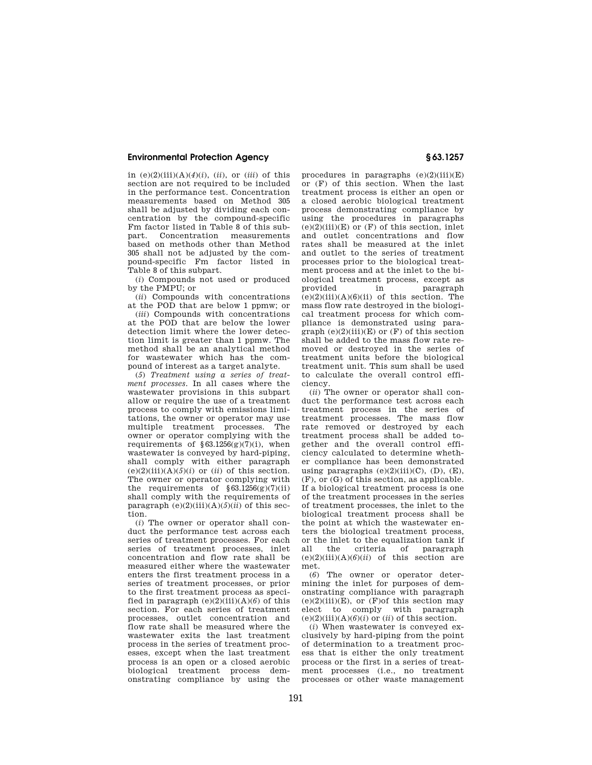in  $(e)(2)(iii)(A)(4)(i)$ ,  $(ii)$ , or  $(iii)$  of this section are not required to be included in the performance test. Concentration measurements based on Method 305 shall be adjusted by dividing each concentration by the compound-specific Fm factor listed in Table 8 of this sub-<br>part Concentration measurements Concentration measurements based on methods other than Method 305 shall not be adjusted by the compound-specific Fm factor listed in Table 8 of this subpart.

(*i*) Compounds not used or produced by the PMPU; or

(*ii*) Compounds with concentrations at the POD that are below 1 ppmw; or

(*iii*) Compounds with concentrations at the POD that are below the lower detection limit where the lower detection limit is greater than 1 ppmw. The method shall be an analytical method for wastewater which has the compound of interest as a target analyte.

(*5*) *Treatment using a series of treatment processes.* In all cases where the wastewater provisions in this subpart allow or require the use of a treatment process to comply with emissions limitations, the owner or operator may use multiple treatment processes. The owner or operator complying with the requirements of  $$63.1256(g)(7)(i)$ , when wastewater is conveyed by hard-piping, shall comply with either paragraph  $(e)(2)(iii)(A)(5)(i)$  or  $(ii)$  of this section. The owner or operator complying with the requirements of  $§63.1256(g)(7)(ii)$ shall comply with the requirements of paragraph  $(e)(2)(iii)(A)(5)(ii)$  of this section.

(*i*) The owner or operator shall conduct the performance test across each series of treatment processes. For each series of treatment processes, inlet concentration and flow rate shall be measured either where the wastewater enters the first treatment process in a series of treatment processes, or prior to the first treatment process as specified in paragraph  $(e)(2)(iii)(A)(6)$  of this section. For each series of treatment processes, outlet concentration and flow rate shall be measured where the wastewater exits the last treatment process in the series of treatment processes, except when the last treatment process is an open or a closed aerobic biological treatment process demonstrating compliance by using the

procedures in paragraphs  $(e)(2)(iii)(E)$ or (F) of this section. When the last treatment process is either an open or a closed aerobic biological treatment process demonstrating compliance by using the procedures in paragraphs  $(e)(2)(iii)(E)$  or  $(F)$  of this section, inlet and outlet concentrations and flow rates shall be measured at the inlet and outlet to the series of treatment processes prior to the biological treatment process and at the inlet to the biological treatment process, except as provided in paragraph  $(e)(2)(iii)(A)(6)(ii)$  of this section. The mass flow rate destroyed in the biological treatment process for which compliance is demonstrated using paragraph  $(e)(2)(iii)(E)$  or  $(F)$  of this section shall be added to the mass flow rate removed or destroyed in the series of treatment units before the biological treatment unit. This sum shall be used to calculate the overall control efficiency.

(*ii*) The owner or operator shall conduct the performance test across each treatment process in the series of treatment processes. The mass flow rate removed or destroyed by each treatment process shall be added together and the overall control efficiency calculated to determine whether compliance has been demonstrated using paragraphs  $(e)(2)(iii)(C)$ ,  $(D)$ ,  $(E)$ , (F), or (G) of this section, as applicable. If a biological treatment process is one of the treatment processes in the series of treatment processes, the inlet to the biological treatment process shall be the point at which the wastewater enters the biological treatment process, or the inlet to the equalization tank if<br>all the criteria of paragraph of paragraph  $(e)(2)(iii)(A)(6)(ii)$  of this section are met.

(*6*) The owner or operator determining the inlet for purposes of demonstrating compliance with paragraph  $(e)(2)(iii)(E)$ , or  $(F)$ of this section may elect to comply with paragraph  $(e)(2)(iii)(A)(6)(i)$  or  $(ii)$  of this section.

(*i*) When wastewater is conveyed exclusively by hard-piping from the point of determination to a treatment process that is either the only treatment process or the first in a series of treatment processes (i.e., no treatment processes or other waste management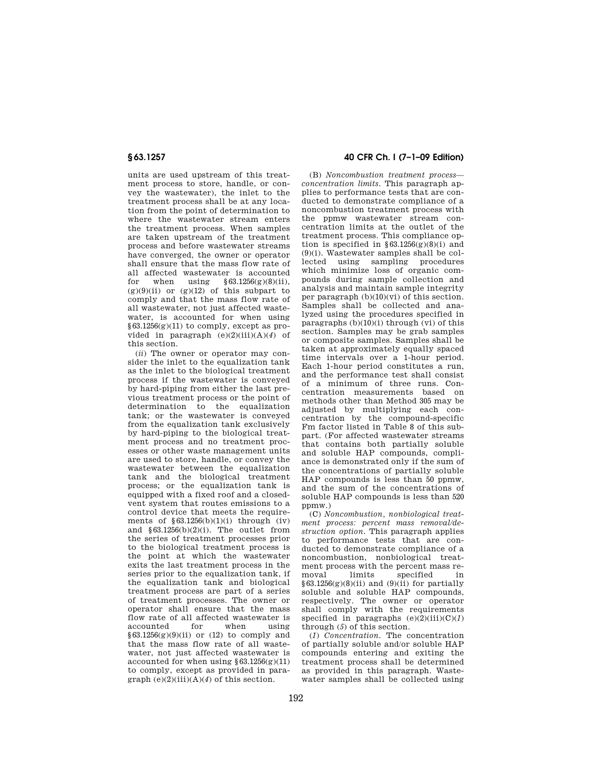units are used upstream of this treatment process to store, handle, or convey the wastewater), the inlet to the treatment process shall be at any location from the point of determination to where the wastewater stream enters the treatment process. When samples are taken upstream of the treatment process and before wastewater streams have converged, the owner or operator shall ensure that the mass flow rate of all affected wastewater is accounted<br>for when using  $\S 63.1256(g)(8)(ii)$ , for when using  $§63.1256(g)(8)(ii)$ ,  $(g)(9)(ii)$  or  $(g)(12)$  of this subpart to comply and that the mass flow rate of all wastewater, not just affected wastewater, is accounted for when using  $§63.1256(g)(11)$  to comply, except as provided in paragraph (e)(2)(iii)(A)(*4*) of this section.

(*ii*) The owner or operator may consider the inlet to the equalization tank as the inlet to the biological treatment process if the wastewater is conveyed by hard-piping from either the last previous treatment process or the point of determination to the equalization tank; or the wastewater is conveyed from the equalization tank exclusively by hard-piping to the biological treatment process and no treatment processes or other waste management units are used to store, handle, or convey the wastewater between the equalization tank and the biological treatment process; or the equalization tank is equipped with a fixed roof and a closedvent system that routes emissions to a control device that meets the requirements of  $§63.1256(b)(1)(i)$  through (iv) and  $§63.1256(b)(2)(i)$ . The outlet from the series of treatment processes prior to the biological treatment process is the point at which the wastewater exits the last treatment process in the series prior to the equalization tank, if the equalization tank and biological treatment process are part of a series of treatment processes. The owner or operator shall ensure that the mass flow rate of all affected wastewater is<br>accounted for when using accounted for when  $§63.1256(g)(9)(ii)$  or (12) to comply and that the mass flow rate of all wastewater, not just affected wastewater is accounted for when using  $§63.1256(g)(11)$ to comply, except as provided in paragraph  $(e)(2)(iii)(A)(4)$  of this section.

# **§ 63.1257 40 CFR Ch. I (7–1–09 Edition)**

(B) *Noncombustion treatment process concentration limits.* This paragraph applies to performance tests that are conducted to demonstrate compliance of a noncombustion treatment process with the ppmw wastewater stream concentration limits at the outlet of the treatment process. This compliance option is specified in  $§63.1256(g)(8)(i)$  and (9)(i). Wastewater samples shall be collected using sampling procedures which minimize loss of organic compounds during sample collection and analysis and maintain sample integrity per paragraph  $(b)(10)(vi)$  of this section. Samples shall be collected and analyzed using the procedures specified in paragraphs  $(b)(10)(i)$  through  $(vi)$  of this section. Samples may be grab samples or composite samples. Samples shall be taken at approximately equally spaced time intervals over a 1-hour period. Each 1-hour period constitutes a run, and the performance test shall consist of a minimum of three runs. Concentration measurements based on methods other than Method 305 may be adjusted by multiplying each concentration by the compound-specific Fm factor listed in Table 8 of this subpart. (For affected wastewater streams that contains both partially soluble and soluble HAP compounds, compliance is demonstrated only if the sum of the concentrations of partially soluble HAP compounds is less than 50 ppmw, and the sum of the concentrations of soluble HAP compounds is less than 520 ppmw.)

(C) *Noncombustion, nonbiological treatment process: percent mass removal/destruction option.* This paragraph applies to performance tests that are conducted to demonstrate compliance of a noncombustion, nonbiological treatment process with the percent mass removal limits specified in  $§63.1256(g)(8)(ii)$  and  $(9)(ii)$  for partially soluble and soluble HAP compounds, respectively. The owner or operator shall comply with the requirements specified in paragraphs  $(e)(2)(iii)(C)(1)$ through (*5*) of this section.

(*1*) *Concentration.* The concentration of partially soluble and/or soluble HAP compounds entering and exiting the treatment process shall be determined as provided in this paragraph. Wastewater samples shall be collected using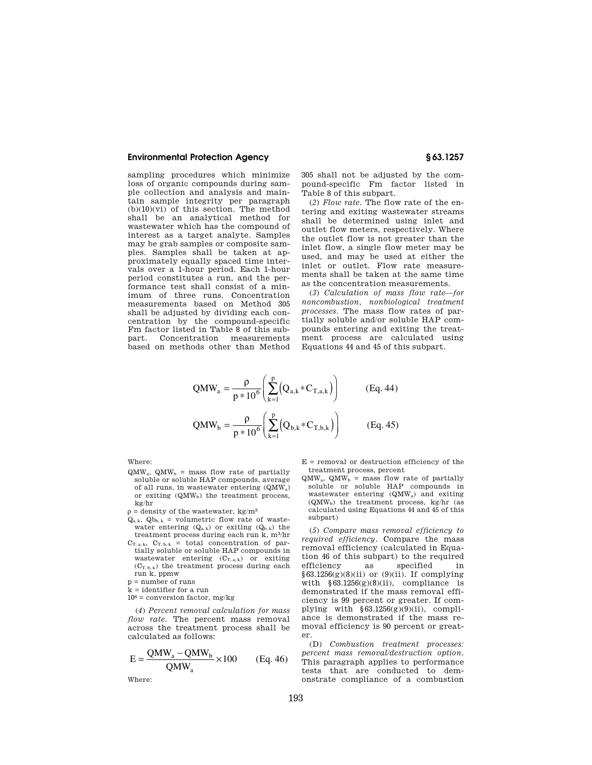sampling procedures which minimize loss of organic compounds during sample collection and analysis and maintain sample integrity per paragraph  $(b)(10)(vi)$  of this section. The method shall be an analytical method for wastewater which has the compound of interest as a target analyte. Samples may be grab samples or composite samples. Samples shall be taken at approximately equally spaced time intervals over a 1-hour period. Each 1-hour period constitutes a run, and the performance test shall consist of a minimum of three runs. Concentration measurements based on Method 305 shall be adjusted by dividing each concentration by the compound-specific Fm factor listed in Table 8 of this subpart. Concentration measurements based on methods other than Method

305 shall not be adjusted by the compound-specific Fm factor listed in Table 8 of this subpart.

(*2*) *Flow rate.* The flow rate of the entering and exiting wastewater streams shall be determined using inlet and outlet flow meters, respectively. Where the outlet flow is not greater than the inlet flow, a single flow meter may be used, and may be used at either the inlet or outlet. Flow rate measurements shall be taken at the same time as the concentration measurements.

(*3*) *Calculation of mass flow rate—for noncombustion, nonbiological treatment processes.* The mass flow rates of partially soluble and/or soluble HAP compounds entering and exiting the treatment process are calculated using Equations 44 and 45 of this subpart.

$$
QMW_a = \frac{\rho}{p * 10^6} \left( \sum_{k=1}^p (Q_{a,k} * C_{T,a,k}) \right)
$$
 (Eq. 44)  

$$
QMW_b = \frac{\rho}{p * 10^6} \left( \sum_{k=1}^p (Q_{b,k} * C_{T,b,k}) \right)
$$
 (Eq. 45)

Where:

- $QMW<sub>a</sub>$ ,  $QMW<sub>b</sub>$  = mass flow rate of partially soluble or soluble HAP compounds, average of all runs, in wastewater entering (QMWa) or exiting  $(QMW<sub>b</sub>)$  the treatment process, kg/hr
- $\rho$  = density of the wastewater, kg/m<sup>3</sup>
- $Q_{a,k}$ ,  $Q_{b,k}$  = volumetric flow rate of wastewater entering  $(Q_{a,k})$  or exiting  $(Q_{b,k})$  the treatment process during each run k, m3/hr
- $C_{T, a, k}$ ,  $C_{T, b, k}$  = total concentration of partially soluble or soluble HAP compounds in wastewater entering  $(C_{T, a, k})$  or exiting  $(C_{T, b, k})$  the treatment process during each run k, ppmw
- p = number of runs
- k = identifier for a run
- $10^6 =$  conversion factor, mg/kg  $\,$

(*4*) *Percent removal calculation for mass flow rate.* The percent mass removal across the treatment process shall be calculated as follows:

$$
E = \frac{QMW_a - QMW_b}{QMW_a} \times 100
$$
 (Eq. 46)

Where:

- $E =$  removal or destruction efficiency of the treatment process, percent
- $QMW<sub>a</sub>$ ,  $QMW<sub>b</sub>$  = mass flow rate of partially soluble or soluble HAP compounds in wastewater entering (QMWa) and exiting  $(QMW<sub>b</sub>)$  the treatment process, kg/hr (as calculated using Equations 44 and 45 of this subpart)

(*5*) *Compare mass removal efficiency to required efficiency.* Compare the mass removal efficiency (calculated in Equation 46 of this subpart) to the required efficiency as specified in  $§63.1256(g)(8)(ii)$  or  $(9)(ii)$ . If complying with  $§63.1256(g)(8)(ii)$ , compliance is demonstrated if the mass removal efficiency is 99 percent or greater. If complying with  $§63.1256(g)(9)(ii)$ , compliance is demonstrated if the mass removal efficiency is 90 percent or greater.

(D) *Combustion treatment processes: percent mass removal/destruction option.*  This paragraph applies to performance tests that are conducted to demonstrate compliance of a combustion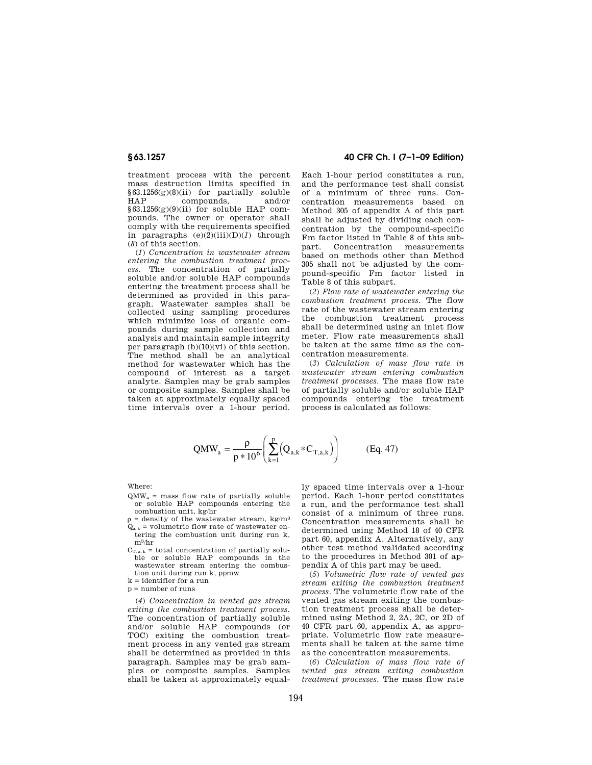treatment process with the percent mass destruction limits specified in §63.1256(g)(8)(ii) for partially soluble HAP compounds, and/or  $§63.1256(g)(9)(ii)$  for soluble HAP compounds. The owner or operator shall comply with the requirements specified in paragraphs (e)(2)(iii)(D)(*1*) through (*8*) of this section.

(*1*) *Concentration in wastewater stream entering the combustion treatment process.* The concentration of partially soluble and/or soluble HAP compounds entering the treatment process shall be determined as provided in this paragraph. Wastewater samples shall be collected using sampling procedures which minimize loss of organic compounds during sample collection and analysis and maintain sample integrity per paragraph  $(b)(10)(vi)$  of this section. The method shall be an analytical method for wastewater which has the compound of interest as a target analyte. Samples may be grab samples or composite samples. Samples shall be taken at approximately equally spaced time intervals over a 1-hour period.

# **§ 63.1257 40 CFR Ch. I (7–1–09 Edition)**

Each 1-hour period constitutes a run, and the performance test shall consist of a minimum of three runs. Concentration measurements based on Method 305 of appendix A of this part shall be adjusted by dividing each concentration by the compound-specific Fm factor listed in Table 8 of this subpart. Concentration measurements based on methods other than Method 305 shall not be adjusted by the compound-specific Fm factor listed in Table 8 of this subpart.

(*2*) *Flow rate of wastewater entering the combustion treatment process.* The flow rate of the wastewater stream entering the combustion treatment process shall be determined using an inlet flow meter. Flow rate measurements shall be taken at the same time as the concentration measurements.

(*3*) *Calculation of mass flow rate in wastewater stream entering combustion treatment processes.* The mass flow rate of partially soluble and/or soluble HAP compounds entering the treatment process is calculated as follows:

$$
QMW_{a} = \frac{\rho}{p*10^{6}} \left( \sum_{k=1}^{p} (Q_{a,k} * C_{T,a,k}) \right)
$$
 (Eq. 47)

Where:

- $QMW<sub>a</sub>$  = mass flow rate of partially soluble or soluble HAP compounds entering the combustion unit, kg/hr
- $\rho$  = density of the wastewater stream, kg/m<sup>3</sup>  $Q_{a, k}$  = volumetric flow rate of wastewater entering the combustion unit during run k, m3/hr
- $C_{T, a, k}$  = total concentration of partially soluble or soluble HAP compounds in the wastewater stream entering the combustion unit during run k, ppmw
- k = identifier for a run

p = number of runs

(*4*) *Concentration in vented gas stream exiting the combustion treatment process.*  The concentration of partially soluble and/or soluble HAP compounds (or TOC) exiting the combustion treatment process in any vented gas stream shall be determined as provided in this paragraph. Samples may be grab samples or composite samples. Samples shall be taken at approximately equal-

ly spaced time intervals over a 1-hour period. Each 1-hour period constitutes a run, and the performance test shall consist of a minimum of three runs. Concentration measurements shall be determined using Method 18 of 40 CFR part 60, appendix A. Alternatively, any other test method validated according to the procedures in Method 301 of appendix A of this part may be used.

(*5*) *Volumetric flow rate of vented gas stream exiting the combustion treatment process.* The volumetric flow rate of the vented gas stream exiting the combustion treatment process shall be determined using Method 2, 2A, 2C, or 2D of 40 CFR part 60, appendix A, as appropriate. Volumetric flow rate measurements shall be taken at the same time as the concentration measurements.

(*6*) *Calculation of mass flow rate of vented gas stream exiting combustion treatment processes.* The mass flow rate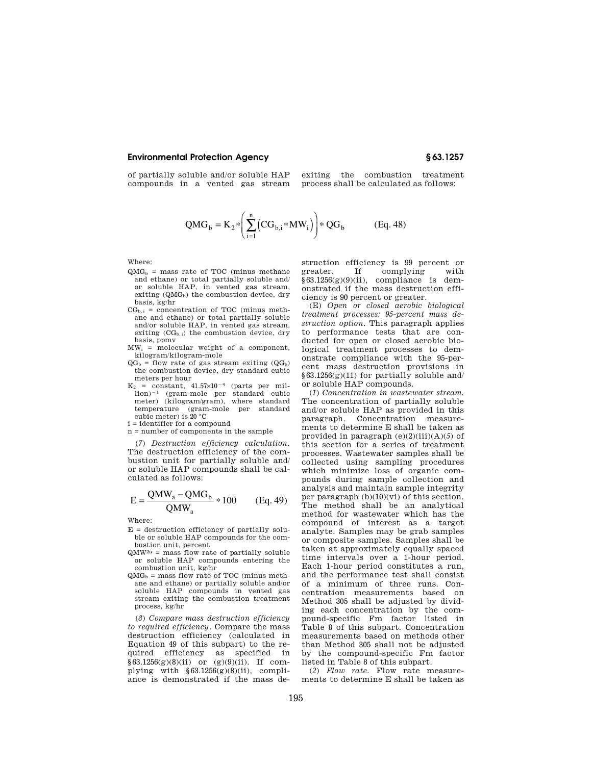of partially soluble and/or soluble HAP compounds in a vented gas stream

exiting the combustion treatment process shall be calculated as follows:

$$
QMG_b = K_2 * \left( \sum_{i=1}^n (CG_{b,i} * MW_i) \right) * QG_b
$$
 (Eq. 48)

Where:

- $OMG<sub>b</sub>$  = mass rate of TOC (minus methane and ethane) or total partially soluble and/ or soluble HAP, in vented gas stream, exiting  $(QMG_b)$  the combustion device, dry basis, kg/hr
- $CG_{b,i}$  = concentration of TOC (minus methane and ethane) or total partially soluble and/or soluble HAP, in vented gas stream, exiting  $(CG_{b,i})$  the combustion device, dry basis, ppmv
- $MW_i$  = molecular weight of a component. kilogram/kilogram-mole
- $QG_b$  = flow rate of gas stream exiting  $(QG_b)$ the combustion device, dry standard cubic meters per hour
- $K_2$  = constant, 41.57×10<sup>-9</sup> (parts per million)¥<sup>1</sup> (gram-mole per standard cubic meter) (kilogram/gram), where standard temperature (gram-mole per standard cubic meter) is 20 °C
- i = identifier for a compound
- n = number of components in the sample

(*7*) *Destruction efficiency calculation.*  The destruction efficiency of the combustion unit for partially soluble and/ or soluble HAP compounds shall be calculated as follows:

$$
E = \frac{QMW_a - QMG_b}{QMW_a} * 100
$$
 (Eq. 49)

Where:

- $E =$  destruction efficiency of partially soluble or soluble HAP compounds for the combustion unit, percent
- $QMW^{2a}$  = mass flow rate of partially soluble or soluble HAP compounds entering the combustion unit, kg/hr
- $QMG_b$  = mass flow rate of TOC (minus methane and ethane) or partially soluble and/or soluble HAP compounds in vented gas stream exiting the combustion treatment process, kg/hr

(*8*) *Compare mass destruction efficiency to required efficiency.* Compare the mass destruction efficiency (calculated in Equation 49 of this subpart) to the required efficiency as specified in  $§63.1256(g)(8)(ii)$  or  $(g)(9)(ii)$ . If complying with  $§63.1256(g)(8)(ii)$ , compliance is demonstrated if the mass destruction efficiency is 99 percent or<br>greater. If complying with If complying with  $§63.1256(g)(9)(ii)$ , compliance is demonstrated if the mass destruction efficiency is 90 percent or greater.

(E) *Open or closed aerobic biological treatment processes: 95-percent mass destruction option.* This paragraph applies to performance tests that are conducted for open or closed aerobic biological treatment processes to demonstrate compliance with the 95-percent mass destruction provisions in  $§63.1256(g)(11)$  for partially soluble and/ or soluble HAP compounds.

(*1*) *Concentration in wastewater stream.*  The concentration of partially soluble and/or soluble HAP as provided in this paragraph. Concentration measurements to determine E shall be taken as provided in paragraph (e)(2)(iii)(A)(*5*) of this section for a series of treatment processes. Wastewater samples shall be collected using sampling procedures which minimize loss of organic compounds during sample collection and analysis and maintain sample integrity per paragraph  $(b)(10)(vi)$  of this section. The method shall be an analytical method for wastewater which has the compound of interest as a target analyte. Samples may be grab samples or composite samples. Samples shall be taken at approximately equally spaced time intervals over a 1-hour period. Each 1-hour period constitutes a run, and the performance test shall consist of a minimum of three runs. Concentration measurements based on Method 305 shall be adjusted by dividing each concentration by the compound-specific Fm factor listed in Table 8 of this subpart. Concentration measurements based on methods other than Method 305 shall not be adjusted by the compound-specific Fm factor listed in Table 8 of this subpart.

(*2*) *Flow rate.* Flow rate measurements to determine E shall be taken as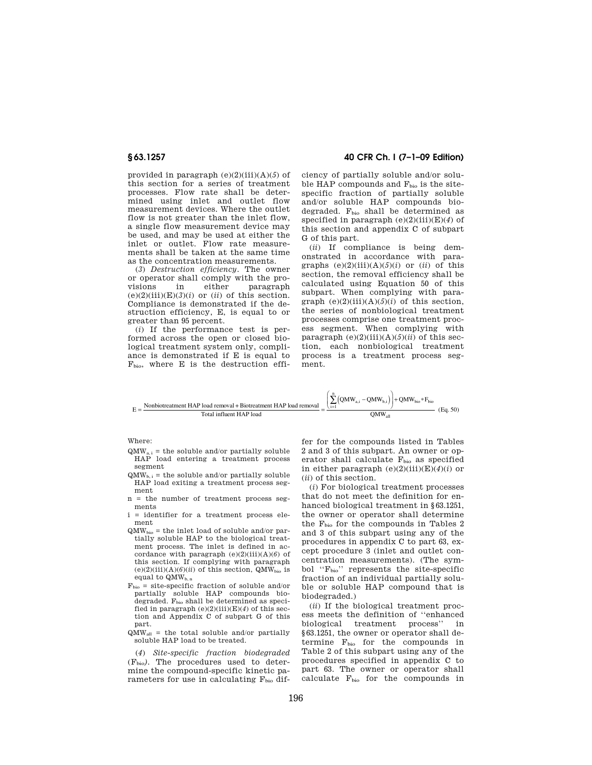provided in paragraph (e)(2)(iii)(A)(*5*) of this section for a series of treatment processes. Flow rate shall be determined using inlet and outlet flow measurement devices. Where the outlet flow is not greater than the inlet flow, a single flow measurement device may be used, and may be used at either the inlet or outlet. Flow rate measurements shall be taken at the same time as the concentration measurements.

(*3*) *Destruction efficiency.* The owner or operator shall comply with the pro-<br>visions in either paragraph visions in either paragraph  $(e)(2)(iii)(E)(3)(i)$  or  $(ii)$  of this section. Compliance is demonstrated if the destruction efficiency, E, is equal to or greater than 95 percent.

(*i*) If the performance test is performed across the open or closed biological treatment system only, compliance is demonstrated if E is equal to  $F<sub>bio</sub>$ , where E is the destruction effi-

# **§ 63.1257 40 CFR Ch. I (7–1–09 Edition)**

ciency of partially soluble and/or soluble HAP compounds and  $F_{\text{bio}}$  is the sitespecific fraction of partially soluble and/or soluble HAP compounds biodegraded.  $F_{bio}$  shall be determined as specified in paragraph (e)(2)(iii)(E)(*4*) of this section and appendix C of subpart G of this part.

(*ii*) If compliance is being demonstrated in accordance with paragraphs  $(e)(2)(iii)(A)(5)(i)$  or  $(ii)$  of this section, the removal efficiency shall be calculated using Equation 50 of this subpart. When complying with paragraph  $(e)(2)(iii)(A)(5)(i)$  of this section, the series of nonbiological treatment processes comprise one treatment process segment. When complying with paragraph  $(e)(2)(iii)(A)(5)(ii)$  of this section, each nonbiological treatment process is a treatment process segment.

$$
E = \frac{\text{Nonbiotreatment HAP load removal + Biotreatment HAP load removal}}{\text{Total influent HAP load}} = \frac{\left(\sum_{i=1}^{n} \left( QMW_{a,i} - QMW_{b,i} \right) \right) + QMW_{bio} * F_{bio}}{QMW_{all}} \tag{Eq. 50}
$$

Where:

- $QMW_{a,i}$  = the soluble and/or partially soluble HAP load entering a treatment process segment
- $\text{OMW}_{b}$  = the soluble and/or partially soluble HAP load exiting a treatment process segment
- n = the number of treatment process segments
- i = identifier for a treatment process element
- $QMW_{bio}$  = the inlet load of soluble and/or partially soluble HAP to the biological treatment process. The inlet is defined in accordance with paragraph (e)(2)(iii)(A)(*6*) of this section. If complying with paragraph  $(e)(2)(iii)(A)(6)(ii)$  of this section, QMW<sub>bio</sub> is equal to  $\mathbf{Q}\mathbf{M}\mathbf{W}_{\mathbf{b},\,\mathbf{n}}$
- $F_{bio}$  = site-specific fraction of soluble and/or partially soluble HAP compounds biodegraded.  $F_{bio}$  shall be determined as specified in paragraph  $(e)(2)(iii)(E)(4)$  of this section and Appendix C of subpart G of this part.
- $QMW<sub>all</sub>$  = the total soluble and/or partially soluble HAP load to be treated.

(*4*) *Site-specific fraction biodegraded*  (Fbio*).* The procedures used to determine the compound-specific kinetic parameters for use in calculating Fbio dif-

fer for the compounds listed in Tables 2 and 3 of this subpart. An owner or operator shall calculate  $F_{bio}$  as specified in either paragraph  $(e)(2)(iii)(E)(4)(i)$  or (*ii*) of this section.

(*i*) For biological treatment processes that do not meet the definition for enhanced biological treatment in §63.1251, the owner or operator shall determine the  $F_{bio}$  for the compounds in Tables 2 and 3 of this subpart using any of the procedures in appendix C to part 63, except procedure 3 (inlet and outlet concentration measurements). (The symbol "F<sub>bio</sub>" represents the site-specific fraction of an individual partially soluble or soluble HAP compound that is biodegraded.)

(*ii*) If the biological treatment process meets the definition of ''enhanced biological treatment process'' in §63.1251, the owner or operator shall determine  $F_{bio}$  for the compounds in Table 2 of this subpart using any of the procedures specified in appendix C to part 63. The owner or operator shall calculate  $F<sub>bio</sub>$  for the compounds in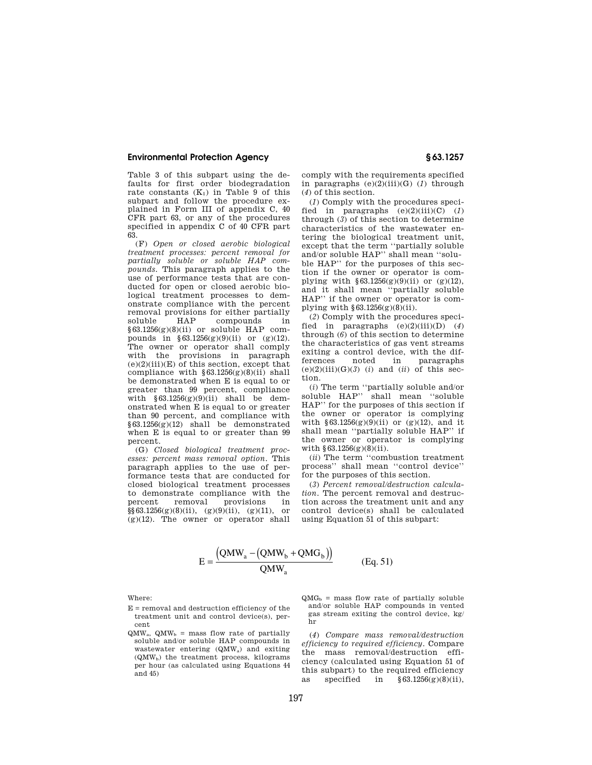Table 3 of this subpart using the defaults for first order biodegradation rate constants  $(K_1)$  in Table 9 of this subpart and follow the procedure explained in Form III of appendix C, 40 CFR part 63, or any of the procedures specified in appendix C of 40 CFR part  $6\overline{3}$ 

(F) *Open or closed aerobic biological treatment processes: percent removal for partially soluble or soluble HAP compounds.* This paragraph applies to the use of performance tests that are conducted for open or closed aerobic biological treatment processes to demonstrate compliance with the percent removal provisions for either partially soluble HAP compounds in  $§63.1256(g)(8)(ii)$  or soluble HAP compounds in  $$63.1256(g)(9)(ii)$  or  $(g)(12)$ . The owner or operator shall comply with the provisions in paragraph  $(e)(2)(iii)(E)$  of this section, except that compliance with  $§63.1256(g)(8)(ii)$  shall be demonstrated when E is equal to or greater than 99 percent, compliance with  $$63.1256(g)(9)(ii)$  shall be demonstrated when E is equal to or greater than 90 percent, and compliance with  $§63.1256(g)(12)$  shall be demonstrated when E is equal to or greater than 99 percent.

(G) *Closed biological treatment processes: percent mass removal option.* This paragraph applies to the use of performance tests that are conducted for closed biological treatment processes to demonstrate compliance with the percent removal provisions in  $\S\$ 63.1256(g)(8)(ii), (g)(9)(ii), (g)(11), or (g)(12). The owner or operator shall

comply with the requirements specified in paragraphs  $(e)(2)(iii)(G)$  (*1*) through (*4*) of this section.

(*1*) Comply with the procedures specified in paragraphs (e)(2)(iii)(C) (*1*) through (*3*) of this section to determine characteristics of the wastewater entering the biological treatment unit, except that the term ''partially soluble and/or soluble HAP'' shall mean ''soluble HAP'' for the purposes of this section if the owner or operator is complying with  $§63.1256(g)(9)(ii)$  or (g)(12), and it shall mean ''partially soluble HAP'' if the owner or operator is complying with  $\S 63.1256(g)(8)(ii)$ .

(*2*) Comply with the procedures specified in paragraphs  $(e)(2)(iii)(D)$  (4) through (*6*) of this section to determine the characteristics of gas vent streams exiting a control device, with the dif-<br>ferences noted in paragraphs ferences noted in paragraphs  $(e)(2)(iii)(G)(3)$  (*i*) and (*ii*) of this section.

(*i*) The term ''partially soluble and/or soluble HAP'' shall mean ''soluble HAP'' for the purposes of this section if the owner or operator is complying with  $§63.1256(g)(9)(ii)$  or  $(g)(12)$ , and it shall mean ''partially soluble HAP'' if the owner or operator is complying with  $§ 63.1256(g)(8)(ii)$ .

(*ii*) The term ''combustion treatment process'' shall mean ''control device'' for the purposes of this section.

(*3*) *Percent removal/destruction calculation.* The percent removal and destruction across the treatment unit and any control device(s) shall be calculated using Equation 51 of this subpart:

$$
E = \frac{(QMW_a - (QMW_b + QMG_b))}{QMW_a}
$$
 (Eq. 51)

Where:

- $E =$  removal and destruction efficiency of the treatment unit and control device(s), percent
- $QMW<sub>a</sub>$ ,  $QMW<sub>b</sub>$  = mass flow rate of partially soluble and/or soluble HAP compounds in wastewater entering (QMWa) and exiting  $(QMW<sub>b</sub>)$  the treatment process, kilograms per hour (as calculated using Equations 44 and 45)
- $QMG_b$  = mass flow rate of partially soluble and/or soluble HAP compounds in vented gas stream exiting the control device,  $\mathbf{kg}/$ hr

(*4*) *Compare mass removal/destruction efficiency to required efficiency.* Compare the mass removal/destruction efficiency (calculated using Equation 51 of this subpart) to the required efficiency as specified in  $\S 63.1256(g)(8)(ii)$ ,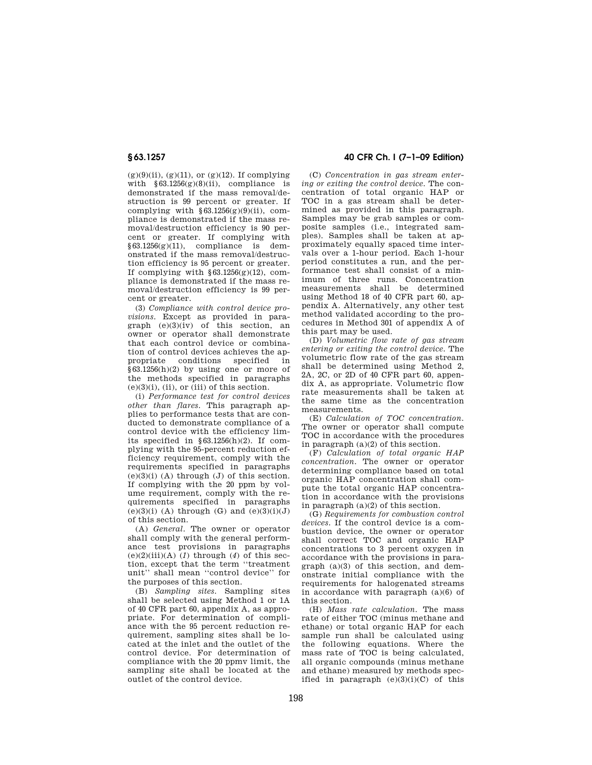$(g)(9)(ii)$ ,  $(g)(11)$ , or  $(g)(12)$ . If complying with  $§63.1256(g)(8)(ii)$ , compliance is demonstrated if the mass removal/destruction is 99 percent or greater. If complying with  $§63.1256(g)(9)(ii)$ , compliance is demonstrated if the mass removal/destruction efficiency is 90 percent or greater. If complying with  $§63.1256(g)(11)$ , compliance is demonstrated if the mass removal/destruction efficiency is 95 percent or greater. If complying with  $\S 63.1256(g)(12)$ , compliance is demonstrated if the mass removal/destruction efficiency is 99 percent or greater.

(3) *Compliance with control device provisions.* Except as provided in paragraph (e)(3)(iv) of this section, an owner or operator shall demonstrate that each control device or combination of control devices achieves the appropriate conditions specified in §63.1256(h)(2) by using one or more of the methods specified in paragraphs  $(e)(3)(i)$ ,  $(ii)$ , or  $(iii)$  of this section.

(i) *Performance test for control devices other than flares.* This paragraph applies to performance tests that are conducted to demonstrate compliance of a control device with the efficiency limits specified in §63.1256(h)(2). If complying with the 95-percent reduction efficiency requirement, comply with the requirements specified in paragraphs  $(e)(3)(i)$  (A) through  $(J)$  of this section. If complying with the 20 ppm by volume requirement, comply with the requirements specified in paragraphs  $(e)(3)(i)$  (A) through (G) and  $(e)(3)(i)(J)$ of this section.

(A) *General.* The owner or operator shall comply with the general performance test provisions in paragraphs (e)(2)(iii)(A) (*1*) through (*4*) of this section, except that the term ''treatment unit'' shall mean ''control device'' for the purposes of this section.

(B) *Sampling sites.* Sampling sites shall be selected using Method 1 or 1A of 40 CFR part 60, appendix A, as appropriate. For determination of compliance with the 95 percent reduction requirement, sampling sites shall be located at the inlet and the outlet of the control device. For determination of compliance with the 20 ppmv limit, the sampling site shall be located at the outlet of the control device.

# **§ 63.1257 40 CFR Ch. I (7–1–09 Edition)**

(C) *Concentration in gas stream entering or exiting the control device.* The concentration of total organic HAP or TOC in a gas stream shall be determined as provided in this paragraph. Samples may be grab samples or composite samples (i.e., integrated samples). Samples shall be taken at approximately equally spaced time intervals over a 1-hour period. Each 1-hour period constitutes a run, and the performance test shall consist of a minimum of three runs. Concentration measurements shall be determined using Method 18 of 40 CFR part 60, appendix A. Alternatively, any other test method validated according to the procedures in Method 301 of appendix A of this part may be used.

(D) *Volumetric flow rate of gas stream entering or exiting the control device.* The volumetric flow rate of the gas stream shall be determined using Method 2, 2A, 2C, or 2D of 40 CFR part 60, appendix A, as appropriate. Volumetric flow rate measurements shall be taken at the same time as the concentration measurements.

(E) *Calculation of TOC concentration.*  The owner or operator shall compute TOC in accordance with the procedures in paragraph (a)(2) of this section.

(F) *Calculation of total organic HAP concentration.* The owner or operator determining compliance based on total organic HAP concentration shall compute the total organic HAP concentration in accordance with the provisions in paragraph (a)(2) of this section.

(G) *Requirements for combustion control devices.* If the control device is a combustion device, the owner or operator shall correct TOC and organic HAP concentrations to 3 percent oxygen in accordance with the provisions in paragraph (a)(3) of this section, and demonstrate initial compliance with the requirements for halogenated streams in accordance with paragraph (a)(6) of this section.

(H) *Mass rate calculation.* The mass rate of either TOC (minus methane and ethane) or total organic HAP for each sample run shall be calculated using the following equations. Where the mass rate of TOC is being calculated, all organic compounds (minus methane and ethane) measured by methods specified in paragraph  $(e)(3)(i)(C)$  of this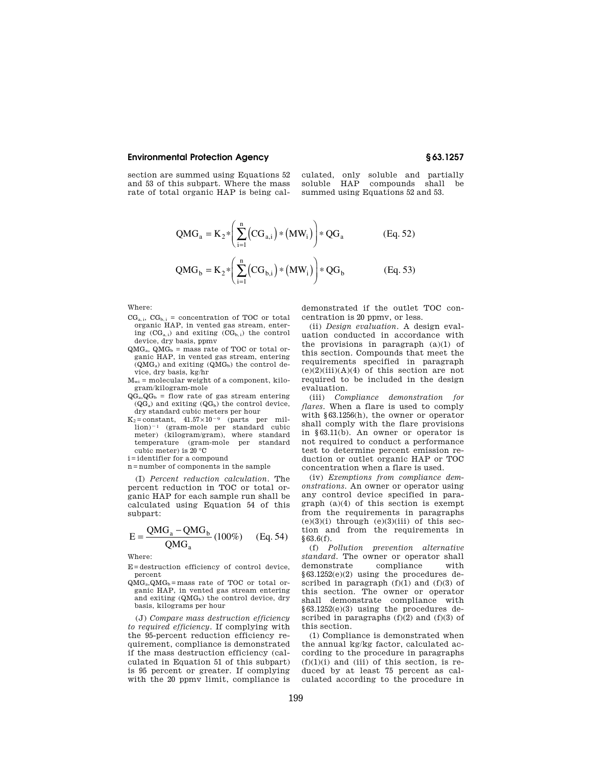section are summed using Equations 52 and 53 of this subpart. Where the mass rate of total organic HAP is being calculated, only soluble and partially<br>soluble HAP compounds shall be compounds shall be summed using Equations 52 and 53.

$$
QMG_a = K_2 * \left(\sum_{i=1}^n (CG_{a,i}) * (MW_i)\right) * QG_a
$$
 (Eq. 52)  

$$
QMG_b = K_2 * \left(\sum_{i=1}^n (CG_{b,i}) * (MW_i)\right) * QG_b
$$
 (Eq. 53)

Where:

- $CG_{a,i}, CG_{b,i} = concentration of TOC or total$ organic HAP, in vented gas stream, entering  $(CG_{a,i})$  and exiting  $(CG_{b,i})$  the control device, dry basis, ppmv
- $QMG<sub>a</sub>$ ,  $QMG<sub>b</sub>$  = mass rate of TOC or total organic HAP, in vented gas stream, entering  $(QMG<sub>a</sub>)$  and exiting  $(QMG<sub>b</sub>)$  the control device, dry basis, kg/hr
- $M_{wi}$  = molecular weight of a component, kilogram/kilogram-mole
- $QG_a, QG_b$  = flow rate of gas stream entering  $\left(QG_{a}\right)$  and exiting  $\left(QG_{b}\right)$  the control device, dry standard cubic meters per hour
- $K_2$ =constant,  $41.57 \times 10^{-9}$  (parts per million)<sup>-1</sup> (gram-mole per standard cubic meter) (kilogram/gram), where standard temperature (gram-mole per standard cubic meter) is 20 °C
- i=identifier for a compound
- n=number of components in the sample

(I) *Percent reduction calculation.* The percent reduction in TOC or total organic HAP for each sample run shall be calculated using Equation 54 of this subpart:

$$
E = \frac{QMG_a - QMG_b}{QMG_a} (100\%) \qquad (Eq. 54)
$$

Where:

E=destruction efficiency of control device, percent

 $QMG<sub>a</sub>, QMG<sub>b</sub>$ =mass rate of TOC or total organic HAP, in vented gas stream entering and exiting  $(QMG_b)$  the control device, dry basis, kilograms per hour

(J) *Compare mass destruction efficiency to required efficiency.* If complying with the 95-percent reduction efficiency requirement, compliance is demonstrated if the mass destruction efficiency (calculated in Equation 51 of this subpart) is 95 percent or greater. If complying with the 20 ppmy limit, compliance is demonstrated if the outlet TOC concentration is 20 ppmv, or less.

(ii) *Design evaluation.* A design evaluation conducted in accordance with the provisions in paragraph  $(a)(1)$  of this section. Compounds that meet the requirements specified in paragraph  $(e)(2)(iii)(A)(4)$  of this section are not required to be included in the design evaluation.

(iii) *Compliance demonstration for flares.* When a flare is used to comply with §63.1256(h), the owner or operator shall comply with the flare provisions in §63.11(b). An owner or operator is not required to conduct a performance test to determine percent emission reduction or outlet organic HAP or TOC concentration when a flare is used.

(iv) *Exemptions from compliance demonstrations.* An owner or operator using any control device specified in paragraph (a)(4) of this section is exempt from the requirements in paragraphs  $(e)(3)(i)$  through  $(e)(3)(iii)$  of this section and from the requirements in §63.6(f).

(f) *Pollution prevention alternative standard.* The owner or operator shall demonstrate compliance with  $§63.1252(e)(2)$  using the procedures described in paragraph  $(f)(1)$  and  $(f)(3)$  of this section. The owner or operator shall demonstrate compliance with §63.1252(e)(3) using the procedures described in paragraphs  $(f)(2)$  and  $(f)(3)$  of this section.

(1) Compliance is demonstrated when the annual kg/kg factor, calculated according to the procedure in paragraphs  $(f)(1)(i)$  and (iii) of this section, is reduced by at least 75 percent as calculated according to the procedure in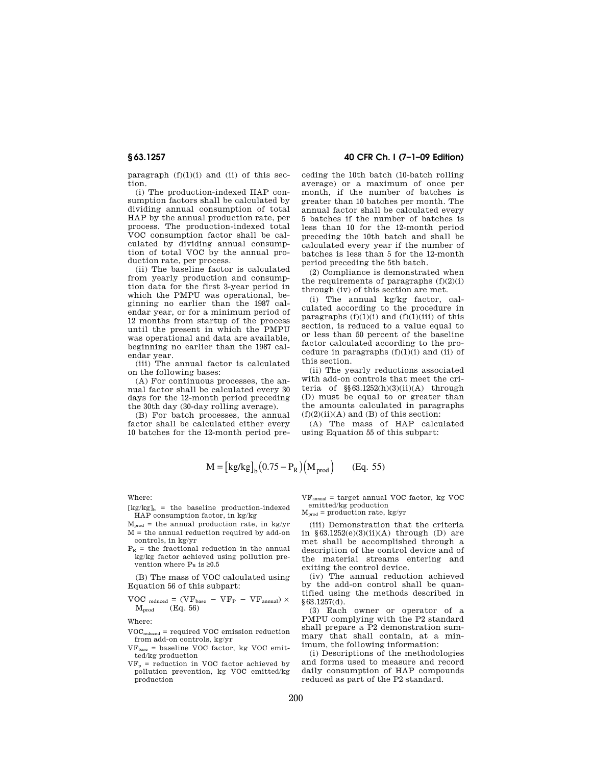paragraph  $(f)(1)(i)$  and  $(ii)$  of this section.

(i) The production-indexed HAP consumption factors shall be calculated by dividing annual consumption of total HAP by the annual production rate, per process. The production-indexed total VOC consumption factor shall be calculated by dividing annual consumption of total VOC by the annual production rate, per process.

(ii) The baseline factor is calculated from yearly production and consumption data for the first 3-year period in which the PMPU was operational, beginning no earlier than the 1987 calendar year, or for a minimum period of 12 months from startup of the process until the present in which the PMPU was operational and data are available, beginning no earlier than the 1987 calendar year.

(iii) The annual factor is calculated on the following bases:

(A) For continuous processes, the annual factor shall be calculated every 30 days for the 12-month period preceding the 30th day (30-day rolling average).

(B) For batch processes, the annual factor shall be calculated either every 10 batches for the 12-month period pre-

**§ 63.1257 40 CFR Ch. I (7–1–09 Edition)** 

ceding the 10th batch (10-batch rolling average) or a maximum of once per month, if the number of batches is greater than 10 batches per month. The annual factor shall be calculated every 5 batches if the number of batches is less than 10 for the 12-month period preceding the 10th batch and shall be calculated every year if the number of batches is less than 5 for the 12-month period preceding the 5th batch.

(2) Compliance is demonstrated when the requirements of paragraphs  $(f)(2)(i)$ through (iv) of this section are met.

(i) The annual kg/kg factor, calculated according to the procedure in paragraphs  $(f)(1)(i)$  and  $(f)(1)(iii)$  of this section, is reduced to a value equal to or less than 50 percent of the baseline factor calculated according to the procedure in paragraphs  $(f)(1)(i)$  and  $(ii)$  of this section.

(ii) The yearly reductions associated with add-on controls that meet the criteria of  $\S(63.1252(h)(3)(ii)(A)$  through (D) must be equal to or greater than the amounts calculated in paragraphs  $(f)(2)(ii)(A)$  and  $(B)$  of this section:

(A) The mass of HAP calculated using Equation 55 of this subpart:

$$
M = [kg/kg]_b (0.75 - P_R) (M_{prod})
$$
 (Eq. 55)

Where:

- $[kg/kg]_b$  = the baseline production-indexed HAP consumption factor, in kg/kg
- $M_{prod}$  = the annual production rate, in kg/yr M = the annual reduction required by add-on controls, in kg/yr
- $P_R$  = the fractional reduction in the annual kg/kg factor achieved using pollution prevention where  $P<sub>p</sub>$  is  $\geq 0.5$

(B) The mass of VOC calculated using Equation 56 of this subpart:

 $VOC$  reduced =  $(VF_{base} - VF_{P} - VF_{annual}) \times$  $\mathrm{M_{prod}}$   $\quad$  (Eq. 56)

Where:

- VOCreduced = required VOC emission reduction from add-on controls, kg/yr
- $VF_{base}$  = baseline VOC factor, kg VOC emitted/kg production
- $VF_p =$  reduction in VOC factor achieved by pollution prevention, kg VOC emitted/kg production

 $VF_{annual} = target annual VOC factor, kg VOC$ emitted/kg production

 $M_{prod}$  = production rate, kg/yr

(iii) Demonstration that the criteria in  $$63.1252(e)(3)(ii)(A)$  through (D) are met shall be accomplished through a description of the control device and of the material streams entering and exiting the control device.

(iv) The annual reduction achieved by the add-on control shall be quantified using the methods described in  $§ 63.1257(d).$ 

(3) Each owner or operator of a PMPU complying with the P2 standard shall prepare a P2 demonstration summary that shall contain, at a minimum, the following information:

(i) Descriptions of the methodologies and forms used to measure and record daily consumption of HAP compounds reduced as part of the P2 standard.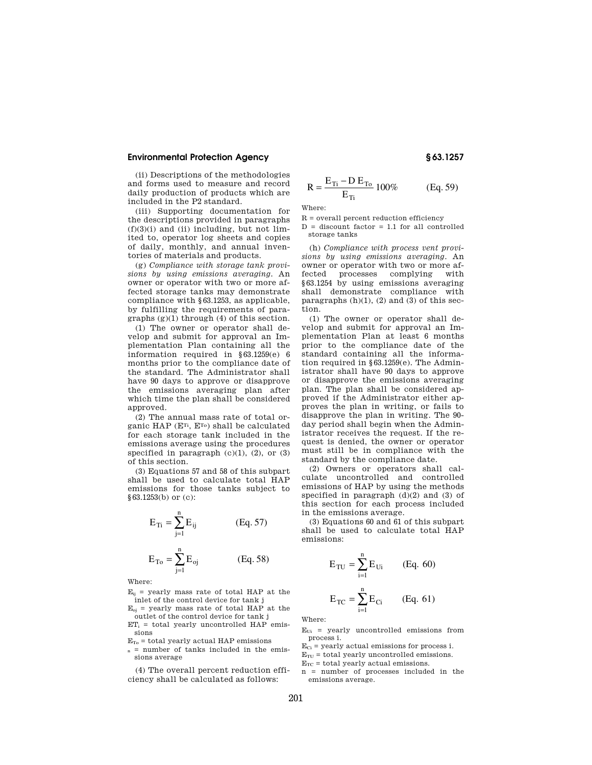(ii) Descriptions of the methodologies and forms used to measure and record daily production of products which are included in the P2 standard.

(iii) Supporting documentation for the descriptions provided in paragraphs  $(f)(3)(i)$  and  $(ii)$  including, but not limited to, operator log sheets and copies of daily, monthly, and annual inventories of materials and products.

(g) *Compliance with storage tank provisions by using emissions averaging.* An owner or operator with two or more affected storage tanks may demonstrate compliance with §63.1253, as applicable, by fulfilling the requirements of paragraphs (g)(1) through (4) of this section.

(1) The owner or operator shall develop and submit for approval an Implementation Plan containing all the information required in §63.1259(e) 6 months prior to the compliance date of the standard. The Administrator shall have 90 days to approve or disapprove the emissions averaging plan after which time the plan shall be considered approved.

(2) The annual mass rate of total organic HAP (ETi, ETo) shall be calculated for each storage tank included in the emissions average using the procedures specified in paragraph  $(c)(1)$ ,  $(2)$ , or  $(3)$ of this section.

(3) Equations 57 and 58 of this subpart shall be used to calculate total HAP emissions for those tanks subject to §63.1253(b) or (c):

$$
E_{Ti} = \sum_{j=1}^{n} E_{ij}
$$
 (Eq. 57)

$$
E_{To} = \sum_{j=1}^{n} E_{oj}
$$
 (Eq. 58)

Where:

 $E_{ii}$  = yearly mass rate of total HAP at the inlet of the control device for tank j

- $E_{oi}$  = yearly mass rate of total HAP at the outlet of the control device for tank j
- $ET_i$  = total yearly uncontrolled HAP emissions
- $E_T =$  total yearly actual HAP emissions
- $n =$  number of tanks included in the emissions average

(4) The overall percent reduction efficiency shall be calculated as follows:

$$
R = \frac{E_{Ti} - D E_{To}}{E_{Ti}} 100\% \t\t (Eq. 59)
$$

Where:

 $\mathbf R$  = overall percent reduction efficiency

 $D =$  discount factor  $= 1.1$  for all controlled storage tanks

(h) *Compliance with process vent provisions by using emissions averaging.* An owner or operator with two or more affected processes complying with §63.1254 by using emissions averaging shall demonstrate compliance with paragraphs  $(h)(1)$ ,  $(2)$  and  $(3)$  of this section.

(1) The owner or operator shall develop and submit for approval an Implementation Plan at least 6 months prior to the compliance date of the standard containing all the information required in §63.1259(e). The Administrator shall have 90 days to approve or disapprove the emissions averaging plan. The plan shall be considered approved if the Administrator either approves the plan in writing, or fails to disapprove the plan in writing. The 90 day period shall begin when the Administrator receives the request. If the request is denied, the owner or operator must still be in compliance with the standard by the compliance date.

(2) Owners or operators shall calculate uncontrolled and controlled emissions of HAP by using the methods specified in paragraph  $(d)(2)$  and  $(3)$  of this section for each process included in the emissions average.

(3) Equations 60 and 61 of this subpart shall be used to calculate total HAP emissions:

$$
E_{TU} = \sum_{i=1}^{n} E_{Ui}
$$
 (Eq. 60)  

$$
E_{TC} = \sum_{i=1}^{n} E_{Ci}
$$
 (Eq. 61)

Where:

 $E_{Ui}$  = yearly uncontrolled emissions from process i.

 $\mathrm{E_{Ci}}$  = yearly actual emissions for process i.

 $E_{\text{TU}}$  = total yearly uncontrolled emissions.

 $E_{TC}$  = total yearly actual emissions.

n = number of processes included in the emissions average.